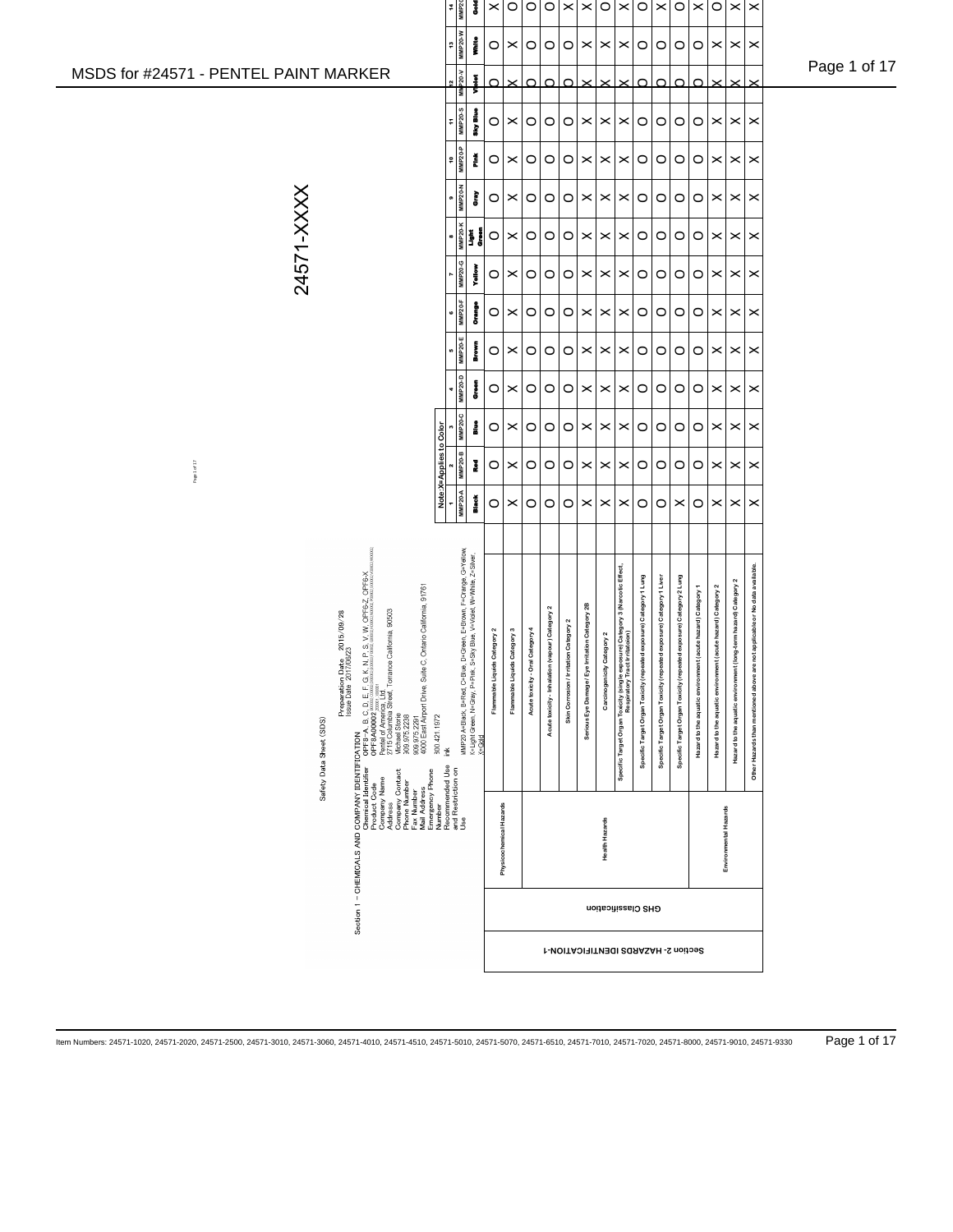|                                                                                                                                                                                                                                                                | MMP20-D<br><b>MMP20-C</b><br>å<br>å                                                                                                                     | è<br>$\circ$<br>$\circ$      | $\boldsymbol{\times}$<br>×   | $\circ$<br>$\circ$               | $\circ$<br>$\circ$                              | $\circ$<br>$\circ$                     | $\boldsymbol{\times}$<br>$\boldsymbol{\times}$  | $\times$<br>$\,\times\,$              | ×<br>×                                                                                                          | $\circ$<br>$\circ$<br>$\circ$<br>$\circ$                                                                                                  | $\circ$<br>$\circ$                                                 | $\circ$<br>O                                                | ×<br>×                                                      | $\boldsymbol{\times}$<br>$\times$                               | $\boldsymbol{\times}$<br>$\boldsymbol{\times}$                              |  |
|----------------------------------------------------------------------------------------------------------------------------------------------------------------------------------------------------------------------------------------------------------------|---------------------------------------------------------------------------------------------------------------------------------------------------------|------------------------------|------------------------------|----------------------------------|-------------------------------------------------|----------------------------------------|-------------------------------------------------|---------------------------------------|-----------------------------------------------------------------------------------------------------------------|-------------------------------------------------------------------------------------------------------------------------------------------|--------------------------------------------------------------------|-------------------------------------------------------------|-------------------------------------------------------------|-----------------------------------------------------------------|-----------------------------------------------------------------------------|--|
| Page 1of 17                                                                                                                                                                                                                                                    | <b>MMP20-B</b><br><u>Note</u><br><b>MMP20-A</b><br><b>Black</b>                                                                                         | Į<br>$\circ$<br>O            | ×<br>×                       | $\circ$<br>$\circ$               | $\circ$<br>$\circ$                              | $\circ$<br>$\circ$                     | $\pmb{\times}$<br>$\boldsymbol{\times}$         | $\,\times\,$<br>$\boldsymbol{\times}$ | ×<br>$\boldsymbol{\times}$                                                                                      | $\circ$<br>$\circ$<br>$\circ$<br>$\circ$                                                                                                  | $\circ$<br>$\boldsymbol{\times}$                                   | O<br>O                                                      | $\boldsymbol{\times}$<br>$\boldsymbol{\times}$              | $\times$<br>$\times$                                            | $\boldsymbol{\times}$<br>$\boldsymbol{\times}$                              |  |
| Preparation Date 2015/09/28                                                                                                                                                                                                                                    | MMP20 A=Black, B=Red, C=Blue, D=Green, E=Brown, F=Crange, G=Yellow,<br>K=Light Green, N=Gray, P=Pink, S=Sky Blue, V=Videt, W=White, Z=Sliver,<br>X=Gald |                              |                              |                                  |                                                 |                                        |                                                 |                                       |                                                                                                                 |                                                                                                                                           |                                                                    |                                                             |                                                             |                                                                 |                                                                             |  |
| Section 1 - OHEMIOALS AND COMPANY IDENTIFICATION<br>Product Code the CREW COMPANY CONTRACTION and the state of the S.V. N. P.FS. V. N. OFFEXATION<br>Corresponding the CREW COMPARY of the State of the S.V. N. OFFEXATION<br>Compa<br>Safety Data Sheet (SDS) |                                                                                                                                                         | Flammable Liquids Category 2 | Flammable Liquids Category 3 | Acute toxicity - Oral Category 4 | Acute toxicity - Inhalation (vapour) Category 2 | Skin Corrosion / Irritation Category 2 | Serious Eye Damage / Eye Irritation Category 2B | Carcinogenicity Category 2            | Specific Target Organ Toxicity (single exposure) Category 3 (Narcotic Effect,<br>Respiratory Tract Irritatorial | Specific Target Organ Toxicity (repeated exposure) Category 1 Lung<br>Specific Target Organ Toxicity (repeated exposure) Category 1 Liver | Specific Target Organ Toxicity (repeated exposure) Category 2 Lung | Hazard to the aquatic environment (acute hazard) Category 1 | Hazard to the aquatic environment (acute hazard) Category 2 | Hazard to the aquatic environment (long-term hazard) Category 2 | Other Hazards than mentioned above are not applicable or No data available. |  |
|                                                                                                                                                                                                                                                                |                                                                                                                                                         |                              | Physicochemical Hazards      |                                  |                                                 |                                        |                                                 | Health Hazards                        |                                                                                                                 |                                                                                                                                           |                                                                    |                                                             |                                                             | Environmental Hazards                                           |                                                                             |  |
|                                                                                                                                                                                                                                                                |                                                                                                                                                         |                              |                              |                                  |                                                 |                                        |                                                 |                                       |                                                                                                                 | GHS Classification                                                                                                                        |                                                                    |                                                             |                                                             |                                                                 |                                                                             |  |
|                                                                                                                                                                                                                                                                |                                                                                                                                                         |                              |                              |                                  |                                                 |                                        |                                                 |                                       |                                                                                                                 | Section 2- HAZARDS IDENTIFICATION-1                                                                                                       |                                                                    |                                                             |                                                             |                                                                 |                                                                             |  |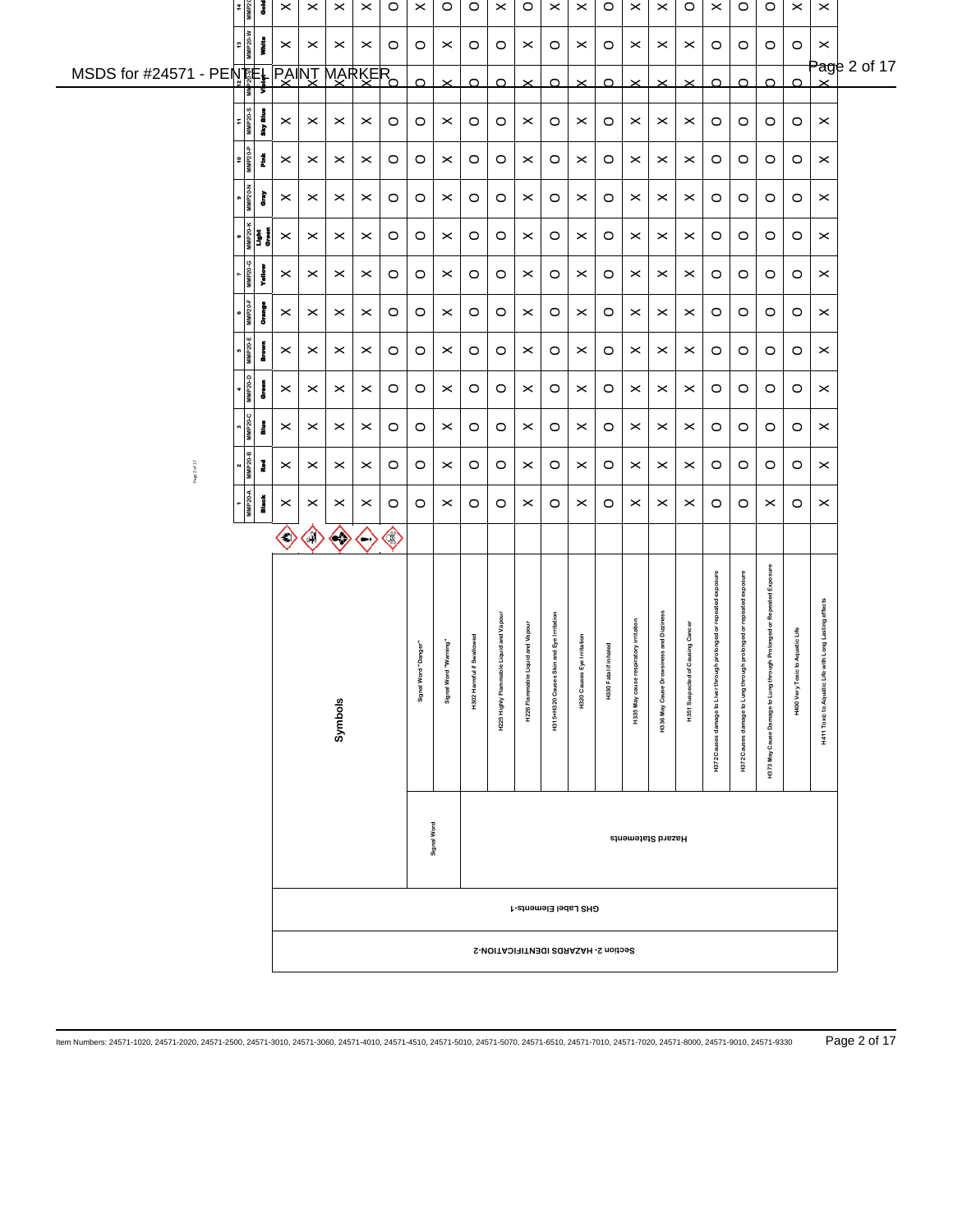|                                | 14<br>MMP20    | š                         | $\pmb{\times}$                   | $\times$              | $\pmb{\times}$        | $\times$                | $\circ$ | $\times$             | $\circ$                  | $\circ$                        | $\boldsymbol{\times}$                       | $\circ$                             | $\times$                                 | $\times$                      | $\circ$               | $\times$                                   | $\times$                                    | $\circ$                                  | $\boldsymbol{\times}$                                                  | $\circ$                                                               | $\circ$                                                                        | $\boldsymbol{\times}$               | $\boldsymbol{\times}$                                  |              |
|--------------------------------|----------------|---------------------------|----------------------------------|-----------------------|-----------------------|-------------------------|---------|----------------------|--------------------------|--------------------------------|---------------------------------------------|-------------------------------------|------------------------------------------|-------------------------------|-----------------------|--------------------------------------------|---------------------------------------------|------------------------------------------|------------------------------------------------------------------------|-----------------------------------------------------------------------|--------------------------------------------------------------------------------|-------------------------------------|--------------------------------------------------------|--------------|
| $\ddot{\phantom{0}}$           | <b>MMP20-W</b> | i                         | $\boldsymbol{\times}$            | $\boldsymbol{\times}$ | $\,\times\,$          | $\times$                | $\circ$ | $\circ$              | $\boldsymbol{\times}$    | $\circ$                        | $\circ$                                     | $\times$                            | $\circ$                                  | $\times$                      | $\circ$               | $\times$                                   | $\times$                                    | $\times$                                 | $\circ$                                                                | $\circ$                                                               | $\circ$                                                                        | $\circ$                             | $\pmb{\times}$                                         | Page 2 of 17 |
| MSDS for #24571 - PENTEL PAINT | 흵              |                           |                                  |                       |                       | <b>MARKER</b>           |         | $\Omega$             | $\times$                 | $\Omega$                       | $\Omega$                                    | $\times$                            | $\Omega$                                 | $\times$                      | $\Omega$              | $\times$                                   | $\times$                                    | $\times$                                 | $\Omega$                                                               | $\Omega$                                                              | $\Omega$                                                                       | $\Omega$                            |                                                        |              |
| ÷                              | <b>MMP20-S</b> | Ī                         | $\times$                         | $\,\times\,$          | ×                     | $\times$                | $\circ$ | $\circ$              | $\times$                 | $\circ$                        | $\circ$                                     | $\times$                            | $\circ$                                  | $\times$                      | $\circ$               | $\times$                                   | $\times$                                    | $\times$                                 | $\circ$                                                                | $\circ$                                                               | $\circ$                                                                        | $\circ$                             | $\,\times\,$                                           |              |
| $\mathsf{e}\,$                 | MMP20-P        | Ĭ                         | $\times$                         | $\times$              | $\times$              | $\times$                | $\circ$ | $\circ$              | $\boldsymbol{\times}$    | $\circ$                        | $\circ$                                     | $\times$                            | $\circ$                                  | $\times$                      | $\circ$               | $\times$                                   | $\times$                                    | $\times$                                 | $\circ$                                                                | $\circ$                                                               | $\circ$                                                                        | $\circ$                             | $\pmb{\times}$                                         |              |
|                                | <b>MMP20-N</b> | È                         | $\times$                         | $\times$              | $\times$              | $\times$                | $\circ$ | $\circ$              | $\times$                 | $\circ$                        | $\circ$                                     | $\times$                            | $\circ$                                  | $\times$                      | $\circ$               | $\times$                                   | $\times$                                    | $\times$                                 | $\circ$                                                                | $\circ$                                                               | $\circ$                                                                        | $\circ$                             | $\boldsymbol{\times}$                                  |              |
| œ                              |                | MMP20-K<br>Light<br>Groun | $\boldsymbol{\times}$            | $\boldsymbol{\times}$ | $\boldsymbol{\times}$ | $\times$                | $\circ$ | $\circ$              | $\boldsymbol{\times}$    | $\circ$                        | $\circ$                                     | $\times$                            | $\circ$                                  | $\times$                      | $\circ$               | $\times$                                   | $\times$                                    | $\times$                                 | $\circ$                                                                | $\circ$                                                               | $\circ$                                                                        | $\circ$                             | $\pmb{\times}$                                         |              |
|                                | MMP20-G        | Yallow                    | $\boldsymbol{\times}$            | $\times$              | $\boldsymbol{\times}$ | $\boldsymbol{\times}$   | $\circ$ | $\circ$              | $\boldsymbol{\times}$    | $\circ$                        | $\circ$                                     | $\boldsymbol{\times}$               | $\circ$                                  | $\times$                      | $\circ$               | $\times$                                   | $\times$                                    | $\times$                                 | $\circ$                                                                | $\circ$                                                               | $\circ$                                                                        | $\circ$                             | $\pmb{\times}$                                         |              |
|                                | <b>MMP20-F</b> | è                         | $\boldsymbol{\times}$            | $\boldsymbol{\times}$ | ×                     | $\times$                | $\circ$ | $\circ$              | $\times$                 | $\circ$                        | $\circ$                                     | $\times$                            | $\circ$                                  | $\times$                      | $\circ$               | $\boldsymbol{\times}$                      | $\times$                                    | $\times$                                 | $\circ$                                                                | $\circ$                                                               | $\circ$                                                                        | $\circ$                             | $\,\times\,$                                           |              |
|                                | MMP20-E        | Brown                     | $\boldsymbol{\times}$            | $\,\times\,$          | $\boldsymbol{\times}$ | $\boldsymbol{\times}$   | $\circ$ | $\circ$              | $\boldsymbol{\times}$    | $\circ$                        | O                                           | $\boldsymbol{\times}$               | $\circ$                                  | $\times$                      | $\circ$               | $\times$                                   | $\times$                                    | $\times$                                 | $\circ$                                                                | $\circ$                                                               | O                                                                              | $\circ$                             | $\,\times\,$                                           |              |
|                                | MMP20-D        | ores.                     | $\boldsymbol{\times}$            | $\times$              | ×                     | $\times$                | $\circ$ | $\circ$              | $\times$                 | $\circ$                        | O                                           | $\times$                            | $\circ$                                  | $\times$                      | $\circ$               | $\times$                                   | $\times$                                    | $\times$                                 | $\circ$                                                                | O                                                                     | $\circ$                                                                        | $\circ$                             | $\times$                                               |              |
|                                | <b>MMP20-C</b> | å                         | $\boldsymbol{\times}$            | $\boldsymbol{\times}$ | ×                     | $\boldsymbol{\times}$   | $\circ$ | $\circ$              | $\boldsymbol{\times}$    | $\circ$                        | O                                           | $\times$                            | $\circ$                                  | $\times$                      | $\circ$               | $\times$                                   | $\times$                                    | $\times$                                 | $\circ$                                                                | $\circ$                                                               | $\circ$                                                                        | $\circ$                             | $\pmb{\times}$                                         |              |
| Page 2 of 17                   | <b>MMP20-B</b> | Į                         | $\times$                         | $\times$              | $\boldsymbol{\times}$ | $\boldsymbol{\times}$   | $\circ$ | $\circ$              | $\pmb{\times}$           | $\circ$                        | $\circ$                                     | $\boldsymbol{\times}$               | $\circ$                                  | $\times$                      | $\circ$               | $\times$                                   | $\times$                                    | $\times$                                 | $\circ$                                                                | $\circ$                                                               | $\circ$                                                                        | $\circ$                             | $\pmb{\times}$                                         |              |
|                                | <b>MMP20-A</b> | <b>Black</b>              | $\boldsymbol{\times}$            | $\times$              | ×                     | $\times$                | $\circ$ | $\circ$              | $\times$                 | $\circ$                        | $\circ$                                     | $\boldsymbol{\times}$               | $\circ$                                  | $\times$                      | $\circ$               | $\times$                                   | $\times$                                    | $\times$                                 | $\circ$                                                                | $\circ$                                                               | $\times$                                                                       | $\circ$                             | $\pmb{\times}$                                         |              |
|                                |                |                           | $\langle \hspace{0.5pt} \rangle$ | $\bigodot$            | $\langle \rangle$     | $\langle \cdot \rangle$ | ◈       |                      |                          |                                |                                             |                                     |                                          |                               |                       |                                            |                                             |                                          |                                                                        |                                                                       |                                                                                |                                     |                                                        |              |
|                                |                |                           |                                  |                       | Symbols               |                         |         | Signal Word "Danger" | ming"<br>Signal Word "Wa | rallowed<br>H302 Harmful if Sv | uid and Vapour<br>H225 Highly Flammable Liq | and Vapour<br>H226 Flammable Liquit | H315+H320 Causes Skin and Eye Irritation | Irritation<br>H320 Causes Eye | H330 Fatal if inhaled | atory irritation<br>H335 May cause respira | ss and Dizziness<br>H336 May Cause Drowsine | using Cancer<br>ected of Ca<br>H351 Susp | olonged or repeated exposure<br>H372 Causes damage to Liver through pr | olonged or repeated exposure<br>H372 Causes damage to Lung through pr | <b>Prolonged or Repeated Exposure</b><br>H373 May Cause Damage to Lung through | quatic Life<br>H400 Very Toxic to A | ong Lasting effects<br>H411 Toxic to Aquatic Life with |              |
|                                |                |                           |                                  |                       |                       |                         |         | Signal Word          |                          |                                |                                             |                                     |                                          |                               |                       |                                            | Hazard Statements                           |                                          |                                                                        |                                                                       |                                                                                |                                     |                                                        |              |
|                                |                |                           |                                  |                       |                       |                         |         |                      |                          |                                |                                             |                                     | GHS Label Elements-1                     |                               |                       |                                            |                                             |                                          |                                                                        |                                                                       |                                                                                |                                     |                                                        |              |
|                                |                |                           |                                  |                       |                       |                         |         |                      |                          |                                |                                             |                                     | Section 2- HAZARDS IDENTIFICATION-2      |                               |                       |                                            |                                             |                                          |                                                                        |                                                                       |                                                                                |                                     |                                                        |              |

Item Numbers: 24571-1020, 24571-2020, 24571-2500, 24571-3010, 24571-3060, 24571-4010, 24571-4510, 24571-5010, 24571-5070, 24571-6510, 24571-7010, 24571-7020, 24571-8000, 24571-9010, 24571-9330 Page 2 of 17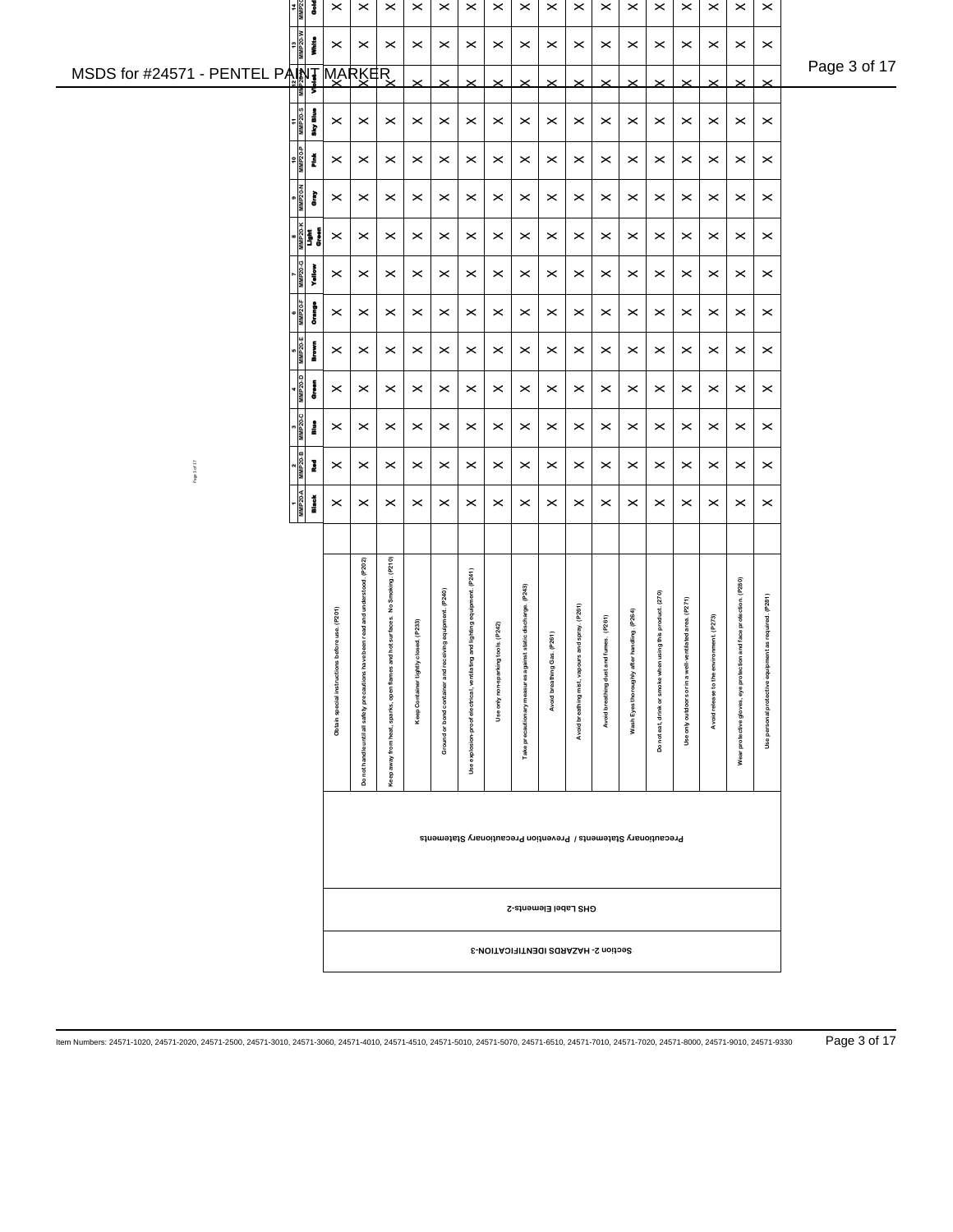|                                       | 02dMW<br>WW<br>š                 | $\pmb{\times}$                                 | $\pmb{\times}$                                 | $\times$                            | $\boldsymbol{\times}$  | $\boldsymbol{\times}$         | $\boldsymbol{\times}$                       | $\times$              | $\pmb{\times}$                    | $\times$              | $\pmb{\times}$                      | $\pmb{\times}$           | $\pmb{\times}$                | $\times$                                                       | $\times$                                 | $\pmb{\times}$             | $\pmb{\times}$                            | $\pmb{\times}$                    |              |
|---------------------------------------|----------------------------------|------------------------------------------------|------------------------------------------------|-------------------------------------|------------------------|-------------------------------|---------------------------------------------|-----------------------|-----------------------------------|-----------------------|-------------------------------------|--------------------------|-------------------------------|----------------------------------------------------------------|------------------------------------------|----------------------------|-------------------------------------------|-----------------------------------|--------------|
|                                       | $\frac{13}{\text{MMP20-W}}$<br>i | $\boldsymbol{\times}$                          | $\boldsymbol{\times}$                          | $\boldsymbol{\times}$               | $\boldsymbol{\times}$  | $\boldsymbol{\times}$         | $\boldsymbol{\times}$                       | $\times$              | $\boldsymbol{\times}$             | $\times$              | $\boldsymbol{\times}$               | $\boldsymbol{\times}$    | $\times$                      | $\times$                                                       | $\times$                                 | $\,\times\,$               | $\times$                                  | $\boldsymbol{\times}$             | Page 3 of 17 |
| MSDS for #24571 - PENTEL PAINT MARKER | ļ                                |                                                |                                                |                                     | $\times$               | $\boldsymbol{\times}$         | $\times$                                    | $\times$              | $\times$                          | $\times$              | $\boldsymbol{\times}$               | $\times$                 | $\geq$                        | $\times$                                                       | $\times$                                 | $\times$                   | $\times$                                  | $\times$                          |              |
|                                       | MMP <sub>20-S</sub><br>Ī         | $\boldsymbol{\times}$                          | $\times$                                       | $\times$                            | $\times$               | $\times$                      | $\boldsymbol{\times}$                       | $\times$              | $\boldsymbol{\times}$             | $\times$              | $\times$                            | $\times$                 | $\times$                      | $\times$                                                       | $\times$                                 | $\,\times\,$               | $\,\times\,$                              | $\,\varkappa\,$                   |              |
|                                       | ммР20-Р<br>Ž                     | $\boldsymbol{\times}$                          | $\boldsymbol{\times}$                          | $\times$                            | $\boldsymbol{\times}$  | $\times$                      | $\boldsymbol{\times}$                       | $\times$              | $\times$                          | $\times$              | $\times$                            | $\times$                 | $\times$                      | $\times$                                                       | $\times$                                 | $\times$                   | $\times$                                  | $\pmb{\times}$                    |              |
|                                       | <b>MMP20-N</b><br>È              | $\boldsymbol{\times}$                          | $\times$                                       | $\times$                            | $\times$               | $\times$                      | $\boldsymbol{\times}$                       | $\times$              | $\boldsymbol{\times}$             | $\times$              | $\times$                            | $\times$                 | $\times$                      | $\times$                                                       | $\times$                                 | $\pmb{\times}$             | $\times$                                  | $\pmb{\times}$                    |              |
|                                       |                                  | $\boldsymbol{\times}$                          | $\boldsymbol{\times}$                          | $\times$                            | $\,\times\,$           | $\boldsymbol{\times}$         | $\boldsymbol{\times}$                       | $\times$              | $\boldsymbol{\times}$             | $\times$              | $\times$                            | $\boldsymbol{\times}$    | $\times$                      | $\times$                                                       | $\times$                                 | $\,\times\,$               | $\boldsymbol{\times}$                     | $\pmb{\times}$                    |              |
|                                       | MMP <sub>20</sub><br>į           | $\boldsymbol{\times}$                          | $\boldsymbol{\times}$                          | $\times$                            | $\boldsymbol{\times}$  | $\boldsymbol{\times}$         | $\boldsymbol{\times}$                       | $\times$              | $\boldsymbol{\times}$             | $\boldsymbol{\times}$ | $\boldsymbol{\times}$               | $\boldsymbol{\times}$    | $\times$                      | $\times$                                                       | $\boldsymbol{\times}$                    | $\pmb{\times}$             | $\pmb{\times}$                            | $\boldsymbol{\times}$             |              |
|                                       | MMP20-F<br>Į                     | $\boldsymbol{\times}$                          | $\boldsymbol{\times}$                          | $\times$                            | $\boldsymbol{\times}$  | $\boldsymbol{\times}$         | $\boldsymbol{\times}$                       | $\times$              | $\boldsymbol{\times}$             | $\boldsymbol{\times}$ | $\times$                            | $\boldsymbol{\times}$    | $\times$                      | $\times$                                                       | $\times$                                 | $\,\times\,$               | $\boldsymbol{\times}$                     | $\,\times\,$                      |              |
|                                       | MMP20-E<br><b>Brown</b>          | $\boldsymbol{\times}$                          | $\times$                                       | $\times$                            | $\times$               | $\times$                      | $\boldsymbol{\times}$                       | $\times$              | $\boldsymbol{\times}$             | $\boldsymbol{\times}$ | $\boldsymbol{\times}$               | $\boldsymbol{\times}$    | $\times$                      | $\times$                                                       | $\times$                                 | $\boldsymbol{\times}$      | $\boldsymbol{\times}$                     | $\,\times\,$                      |              |
|                                       | MMP20-D<br>į                     | $\boldsymbol{\times}$                          | $\boldsymbol{\times}$                          | $\times$                            | $\times$               | $\times$                      | $\boldsymbol{\times}$                       | $\times$              | $\boldsymbol{\times}$             | $\times$              | $\times$                            | $\boldsymbol{\times}$    | $\times$                      | $\times$                                                       | $\times$                                 | $\pmb{\times}$             | $\boldsymbol{\times}$                     | $\boldsymbol{\times}$             |              |
|                                       | <b>JCdMIN</b><br>å               | $\boldsymbol{\times}$                          | $\times$                                       | $\times$                            | $\boldsymbol{\times}$  | $\times$                      | $\boldsymbol{\times}$                       | $\boldsymbol{\times}$ | $\times$                          | $\times$              | $\times$                            | $\times$                 | $\times$                      | $\times$                                                       | $\times$                                 | $\,\times\,$               | $\boldsymbol{\times}$                     | $\,\times\,$                      |              |
| Page 3 of 17                          | ì                                | $\boldsymbol{\times}$                          | $\boldsymbol{\times}$                          | $\times$                            | $\times$               | $\times$                      | $\boldsymbol{\times}$                       | $\boldsymbol{\times}$ | $\boldsymbol{\times}$             | $\boldsymbol{\times}$ | $\times$                            | $\boldsymbol{\times}$    | $\times$                      | $\times$                                                       | $\times$                                 | $\pmb{\times}$             | $\boldsymbol{\times}$                     | $\boldsymbol{\times}$             |              |
|                                       | MMP20-A<br><b>Black</b>          | $\boldsymbol{\times}$                          | $\times$                                       | $\times$                            | $\boldsymbol{\times}$  | $\times$                      | $\times$                                    | $\times$              | $\boldsymbol{\times}$             | $\times$              | $\times$                            | $\times$                 | $\times$                      | $\times$                                                       | $\times$                                 | $\pmb{\times}$             | $\times$                                  | $\boldsymbol{\times}$             |              |
|                                       |                                  |                                                |                                                |                                     |                        |                               |                                             |                       |                                   |                       |                                     |                          |                               |                                                                |                                          |                            |                                           |                                   |              |
|                                       |                                  |                                                | been read and understood. (P202)               | No Smoking. (P210)<br>hot surfaces. | osed. (P233)           | iving equipment. (P240)       | and lighting equipment. (P241)              | tools. (P242)         | st static discharge. (P243)       | (P261)                | and spray. (P261)                   | fumes. (P261)            | handling. (P264)              | sing this product. (270)                                       | intilated area. (P271)                   | onment. (P273)             | and face protection. (P280)               | nt as required. (P281)            |              |
|                                       |                                  | Obtain special instructions before use. (P201) | Do not handle until all safety precautions haw | ā<br>open<br>sparks,<br>heat,       | Keep Container tightly | and<br>Ground or bond contain | Use explosion-proof electrical, ventilating | Use only non-sparking | Take precautionary measures again | Avoid breathing Ga    | Avoid breathing mist, vapour        | Avoid breathing dust and | after<br>Wash Eyes thoroughly | Do not eat, drink or smoke when                                | ∲<br>\$<br>£<br>ŏ<br>only outdoors<br>Se | Avoid release to the envir | protection<br>Wear protective gloves, eye | personal protective equipm<br>Use |              |
|                                       |                                  |                                                |                                                | from<br>Keep away                   |                        |                               |                                             |                       |                                   |                       |                                     |                          |                               |                                                                |                                          |                            |                                           |                                   |              |
|                                       |                                  |                                                |                                                |                                     |                        |                               |                                             |                       |                                   |                       |                                     |                          |                               | Precautionary Statements / Prevention Precautionary Statements |                                          |                            |                                           |                                   |              |
|                                       |                                  |                                                |                                                |                                     |                        |                               |                                             |                       |                                   |                       | GHS Label Elements-2                |                          |                               |                                                                |                                          |                            |                                           |                                   |              |
|                                       |                                  |                                                |                                                |                                     |                        |                               |                                             |                       |                                   |                       | Section 2- HAZARDS IDENTIFICATION-3 |                          |                               |                                                                |                                          |                            |                                           |                                   |              |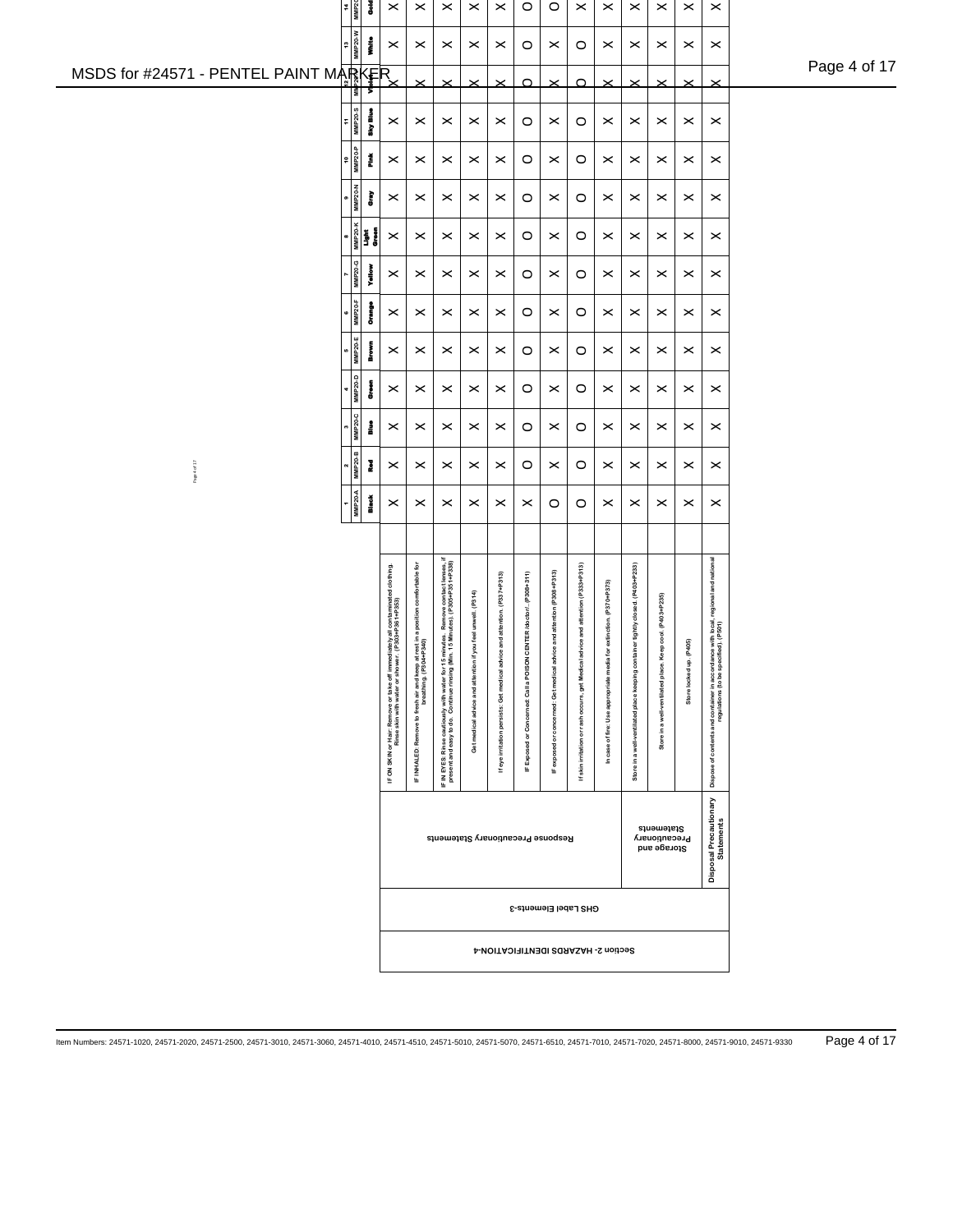|                                       | $\frac{14}{MMP20}$<br>š                                             | $\pmb{\times}$                                                                   | $\times$                                     | $\times$                                                                                         | $\boldsymbol{\times}$                                       | $\times$                                     | $\circ$                                | $\circ$                                 | $\pmb{\times}$                   | $\boldsymbol{\times}$                  | $\times$                                     | $\times$                                   | $\pmb{\times}$        | $\pmb{\times}$                                                                                                             |              |
|---------------------------------------|---------------------------------------------------------------------|----------------------------------------------------------------------------------|----------------------------------------------|--------------------------------------------------------------------------------------------------|-------------------------------------------------------------|----------------------------------------------|----------------------------------------|-----------------------------------------|----------------------------------|----------------------------------------|----------------------------------------------|--------------------------------------------|-----------------------|----------------------------------------------------------------------------------------------------------------------------|--------------|
|                                       | 13<br>MMP20-W<br>i                                                  | $\boldsymbol{\times}$                                                            | $\boldsymbol{\times}$                        | $\boldsymbol{\times}$                                                                            | $\times$                                                    | $\,\times\,$                                 | O                                      | $\boldsymbol{\times}$                   | $\circ$                          | $\,\times\,$                           | $\boldsymbol{\times}$                        | $\times$                                   | $\boldsymbol{\times}$ | $\,\times\,$                                                                                                               |              |
| MSDS for #24571 - PENTEL PAINT MARKER | ι                                                                   |                                                                                  | $\times$                                     | $\times$                                                                                         | $\times$                                                    | $\times$                                     | $\Omega$                               | $\times$                                | $\Omega$                         | $\times$                               | $\times$                                     |                                            | $\times$              | $\times$                                                                                                                   | Page 4 of 17 |
|                                       | $rac{11}{11}$<br>any Blue                                           | $\boldsymbol{\times}$                                                            | $\boldsymbol{\times}$                        | $\boldsymbol{\times}$                                                                            | $\boldsymbol{\times}$                                       | $\,\times\,$                                 | $\circ$                                | $\boldsymbol{\times}$                   | $\circ$                          | $\,\times\,$                           | $\boldsymbol{\times}$                        | $\times$                                   | $\times$              | $\,\times\,$                                                                                                               |              |
|                                       | $\frac{10}{10}$<br>MMP <sub>20-P</sub><br>Ĭ                         | $\boldsymbol{\times}$                                                            | $\boldsymbol{\times}$                        | $\times$                                                                                         | $\times$                                                    | $\times$                                     | $\circ$                                | $\boldsymbol{\times}$                   | $\circ$                          | $\times$                               | $\boldsymbol{\times}$                        | $\times$                                   | $\times$              | $\pmb{\times}$                                                                                                             |              |
|                                       | $\frac{1}{\text{MMP 20-N}}$<br>Ĵ                                    | $\boldsymbol{\times}$                                                            | $\times$                                     | $\times$                                                                                         | $\boldsymbol{\times}$                                       | $\boldsymbol{\times}$                        | O                                      | $\times$                                | $\circ$                          | $\boldsymbol{\times}$                  | $\boldsymbol{\times}$                        | $\times$                                   | $\times$              | $\pmb{\times}$                                                                                                             |              |
|                                       | $\begin{array}{c}\n\hline\n\bullet \\ \hline\n\bullet\n\end{array}$ | $\boldsymbol{\times}$                                                            | $\times$                                     | $\times$                                                                                         | $\boldsymbol{\times}$                                       | $\boldsymbol{\times}$                        | $\circ$                                | $\boldsymbol{\times}$                   | O                                | $\boldsymbol{\times}$                  | $\boldsymbol{\times}$                        | $\times$                                   | $\times$              | $\,\times\,$                                                                                                               |              |
|                                       | MMP20-G<br>į                                                        | $\boldsymbol{\times}$                                                            | $\times$                                     | $\boldsymbol{\times}$                                                                            | $\boldsymbol{\times}$                                       | $\boldsymbol{\times}$                        | $\circ$                                | $\boldsymbol{\times}$                   | O                                | $\boldsymbol{\times}$                  | $\boldsymbol{\times}$                        | $\boldsymbol{\times}$                      | $\boldsymbol{\times}$ | $\,\times\,$                                                                                                               |              |
|                                       | $\frac{6}{MMP20 \cdot F}$<br>š                                      | $\boldsymbol{\times}$                                                            | $\,\times\,$                                 | $\times$                                                                                         | ×                                                           | $\boldsymbol{\times}$                        | $\circ$                                | $\boldsymbol{\times}$                   | O                                | $\boldsymbol{\times}$                  | $\,\varkappa\,$                              | $\boldsymbol{\times}$                      | $\boldsymbol{\times}$ | $\,\times\,$                                                                                                               |              |
|                                       | 5<br>MMP20-E<br>å                                                   | $\boldsymbol{\times}$                                                            | $\boldsymbol{\times}$                        | $\times$                                                                                         | $\boldsymbol{\times}$                                       | $\,\times\,$                                 | O                                      | $\boldsymbol{\times}$                   | O                                | $\,\times\,$                           | $\,\varkappa\,$                              | $\,\times\,$                               | $\boldsymbol{\times}$ | $\,\times\,$                                                                                                               |              |
|                                       | $4$<br>MNP20-D<br>å                                                 | $\boldsymbol{\times}$                                                            | $\boldsymbol{\times}$                        | $\times$                                                                                         | $\boldsymbol{\times}$                                       | $\boldsymbol{\times}$                        | O                                      | $\boldsymbol{\times}$                   | O                                | $\boldsymbol{\times}$                  | $\boldsymbol{\times}$                        | $\times$                                   | $\boldsymbol{\times}$ | $\boldsymbol{\times}$                                                                                                      |              |
|                                       | $3 - 20 - C$<br>å                                                   | $\boldsymbol{\times}$                                                            | $\boldsymbol{\times}$                        | $\times$                                                                                         | $\boldsymbol{\times}$                                       | $\boldsymbol{\times}$                        | $\circ$                                | $\boldsymbol{\times}$                   | O                                | $\,\times\,$                           | $\,\varkappa\,$                              | $\,\times\,$                               | $\times$              | $\,\times\,$                                                                                                               |              |
| Page 4 of 17                          | $2$<br>MMP20-B<br>è                                                 | $\boldsymbol{\times}$                                                            | $\boldsymbol{\times}$                        | $\boldsymbol{\times}$                                                                            | $\boldsymbol{\times}$                                       | $\,\times\,$                                 | O                                      | $\boldsymbol{\times}$                   | $\circ$                          | $\,\times\,$                           | $\,\varkappa\,$                              | $\boldsymbol{\times}$                      | $\times$              | $\pmb{\times}$                                                                                                             |              |
|                                       | $MMP20-A$<br><b>Black</b>                                           | $\boldsymbol{\times}$                                                            | $\times$                                     | $\times$                                                                                         | $\boldsymbol{\times}$                                       | $\times$                                     | $\boldsymbol{\times}$                  | O                                       | $\circ$                          | $\times$                               | $\boldsymbol{\times}$                        | $\boldsymbol{\times}$                      | $\times$              | $\boldsymbol{\times}$                                                                                                      |              |
|                                       |                                                                     |                                                                                  |                                              |                                                                                                  |                                                             |                                              |                                        |                                         |                                  |                                        |                                              |                                            |                       |                                                                                                                            |              |
|                                       |                                                                     |                                                                                  |                                              | minutes. Remove contact lenses, if<br>n. 15 Minutes). (P305+P351+P338)                           |                                                             |                                              |                                        |                                         | advice and attention (P333+P313) |                                        |                                              |                                            |                       | Dispose of contents and container in accordance with local, regional and national<br>regulations (to be specified), (P501) |              |
|                                       |                                                                     | liately all contaminated dothing.<br>(P303+P361+P353)                            | rest in a position comfortable for<br>-P340) |                                                                                                  | Get medical advice and attention if you feel unwell. (P314) | ce and attention. (P337+P313)                | CENTER /doctor/(P308+311)              | rice and attention (P308+P313)          |                                  | for extinction. (P370+P373)            | ainer tightly closed. (P403+P233)            | Keep cool. (P403+P235)                     | (106)                 |                                                                                                                            |              |
|                                       |                                                                     |                                                                                  |                                              |                                                                                                  |                                                             |                                              |                                        |                                         | get Medical                      |                                        |                                              |                                            | Store locked up.      |                                                                                                                            |              |
|                                       |                                                                     | IF ON SKIN or Hair: Remove or take off immed<br>Rinse skin with water or shower. | IF INHALED: Remove to fresh air and keep at  | IF IN EYES: Rinse cautiously with water for 15 n<br>present and easy to do. Continue rinsing (Mi |                                                             | If eye irritation persists: Get medical advi | IF Exposed or Concerned: Call a POISON | IF exposed or concerned: Get medical ad | or rash occurs,                  | In case of fire: Use appropriate media | Store in a well-ventilated place keeping com | Store in a well-ventilated place.          |                       |                                                                                                                            |              |
|                                       |                                                                     |                                                                                  |                                              |                                                                                                  |                                                             |                                              |                                        |                                         |                                  |                                        |                                              |                                            |                       |                                                                                                                            |              |
|                                       |                                                                     |                                                                                  |                                              |                                                                                                  |                                                             |                                              |                                        |                                         | If skin irritation               |                                        |                                              |                                            |                       |                                                                                                                            |              |
|                                       |                                                                     |                                                                                  |                                              | Response Precautionary Statements                                                                |                                                             |                                              |                                        |                                         |                                  |                                        |                                              | Statements<br>Precautionary<br>Storage and |                       | Disposal Precautionary<br>Statements                                                                                       |              |
|                                       |                                                                     |                                                                                  |                                              |                                                                                                  |                                                             |                                              |                                        |                                         |                                  |                                        |                                              |                                            |                       |                                                                                                                            |              |
|                                       |                                                                     |                                                                                  |                                              |                                                                                                  |                                                             |                                              |                                        | GHS Label Elements-3                    |                                  |                                        |                                              |                                            |                       |                                                                                                                            |              |
|                                       |                                                                     |                                                                                  |                                              |                                                                                                  |                                                             |                                              |                                        | Section 2- HAZARDS IDENTIFICATION-4     |                                  |                                        |                                              |                                            |                       |                                                                                                                            |              |
|                                       |                                                                     |                                                                                  |                                              |                                                                                                  |                                                             |                                              |                                        |                                         |                                  |                                        |                                              |                                            |                       |                                                                                                                            |              |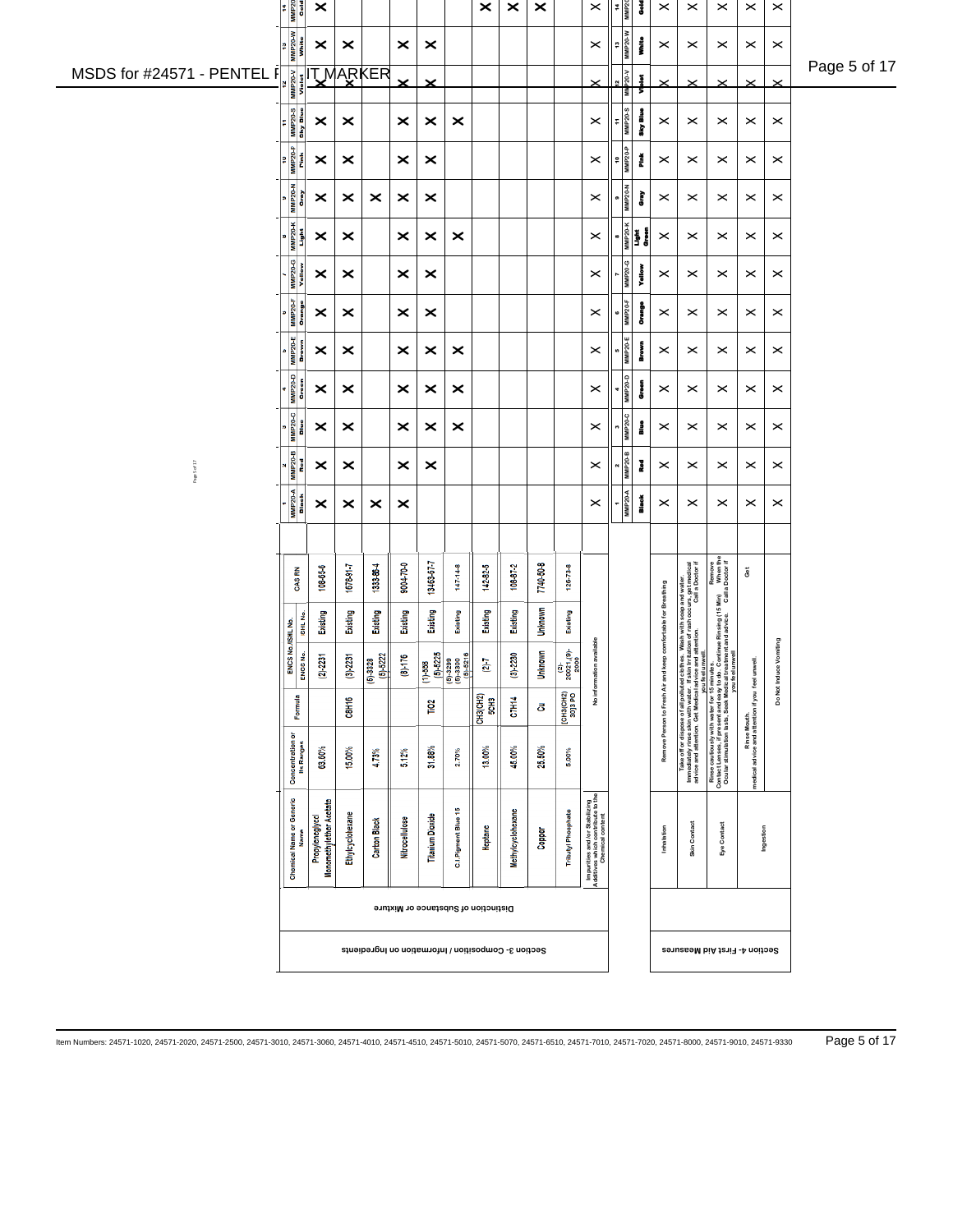|                            | $\begin{array}{r} \n\text{Time} \\ \hline\n\text{Time} \\ \hline\n\end{array}$ | $\boldsymbol{\times}$                      |                       |                                                     |                       |                         |                                                                             | $\times$                | $\pmb{\times}$    | $\boldsymbol{\times}$ |                           | $\times$                                                                              | 14<br>MMP20         | š            | $\boldsymbol{\times}$               | $\,\times\,$          | $\times$                                                                                                                                                                                                                          | $\times$                                                         | $\,\times\,$           |              |
|----------------------------|--------------------------------------------------------------------------------|--------------------------------------------|-----------------------|-----------------------------------------------------|-----------------------|-------------------------|-----------------------------------------------------------------------------|-------------------------|-------------------|-----------------------|---------------------------|---------------------------------------------------------------------------------------|---------------------|--------------|-------------------------------------|-----------------------|-----------------------------------------------------------------------------------------------------------------------------------------------------------------------------------------------------------------------------------|------------------------------------------------------------------|------------------------|--------------|
|                            | <b>MMP20-W</b><br><b>Shife</b><br>n                                            | ×                                          | $\boldsymbol{\times}$ |                                                     | $\boldsymbol{\times}$ | ×                       |                                                                             |                         |                   |                       |                           | $\boldsymbol{\times}$                                                                 | <b>MMP20-W</b><br>4 | i            | $\,\varkappa\,$                     | $\times$              | $\times$                                                                                                                                                                                                                          | $\times$                                                         | $\,\times\,$           | Page 5 of 17 |
| MSDS for #24571 - PENTEL F | <b>MMP20-V</b><br>Violet                                                       |                                            |                       | <b>TMARKER</b>                                      | ×                     | $\boldsymbol{\times}$   |                                                                             |                         |                   |                       |                           |                                                                                       | P20-V<br>š          | ï            | $\times$                            |                       | $\times$                                                                                                                                                                                                                          |                                                                  | $\times$               |              |
|                            | MMP20-S<br>Sky Blue<br>Ŧ                                                       | ×                                          | $\boldsymbol{\times}$ |                                                     | ×                     | $\boldsymbol{\times}$   | $\boldsymbol{\times}$                                                       |                         |                   |                       |                           | ×                                                                                     | 11<br>MMP20-S       | any Blue     | $\,\varkappa\,$                     | $\times$              | $\boldsymbol{\times}$                                                                                                                                                                                                             | $\times$                                                         | $\boldsymbol{\times}$  |              |
|                            | $\frac{10}{10}$<br>Fink                                                        | ×                                          | $\boldsymbol{\times}$ |                                                     | ×                     | ×                       |                                                                             |                         |                   |                       |                           | $\boldsymbol{\times}$                                                                 | 4-02-dWN            | Ž            | $\boldsymbol{\times}$               | $\times$              | $\times$                                                                                                                                                                                                                          | $\times$                                                         | $\boldsymbol{\times}$  |              |
|                            | <b>MMP20-N</b><br>Gray                                                         | ×                                          | $\boldsymbol{\times}$ | $\boldsymbol{\times}$                               | ×                     | $\boldsymbol{\times}$   |                                                                             |                         |                   |                       |                           | $\times$                                                                              | <b>MMP20-N</b>      | È            | $\,\varkappa\,$                     | $\times$              | $\boldsymbol{\times}$                                                                                                                                                                                                             | $\times$                                                         | $\boldsymbol{\times}$  |              |
|                            | $MMP20-K$<br>ا <mark>ق</mark> تا                                               | ×                                          | $\boldsymbol{\times}$ |                                                     | ×                     | $\boldsymbol{\times}$   | $\times$                                                                    |                         |                   |                       |                           | $\boldsymbol{\times}$                                                                 |                     |              | $\,\varkappa\,$                     | $\times$              | $\times$                                                                                                                                                                                                                          | $\times$                                                         | $\boldsymbol{\times}$  |              |
|                            | <b>MMP20-G</b><br>Yellow                                                       | ×                                          | $\boldsymbol{\times}$ |                                                     | ×                     | ×                       |                                                                             |                         |                   |                       |                           | $\boldsymbol{\times}$                                                                 | MMP20-G             | Yallow       | $\,\varkappa\,$                     | $\times$              | $\times$                                                                                                                                                                                                                          | $\times$                                                         | $\boldsymbol{\times}$  |              |
|                            | MMP <sub>20-F</sub><br>Orange                                                  | ×                                          | ×                     |                                                     | ×                     | ×                       |                                                                             |                         |                   |                       |                           | $\boldsymbol{\times}$                                                                 | <b>MMP20-F</b>      | Į            | $\,\varkappa\,$                     | $\times$              | $\boldsymbol{\times}$                                                                                                                                                                                                             | ×                                                                | ×                      |              |
|                            | 5<br>MMP20-E<br>Brown                                                          | ×                                          | ×                     |                                                     | ×                     | ×                       | ×                                                                           |                         |                   |                       |                           | $\boldsymbol{\times}$                                                                 | <b>MMP20-E</b>      | l<br>Brown   | $\,\varkappa\,$                     | $\times$              | $\times$                                                                                                                                                                                                                          | $\times$                                                         | $\boldsymbol{\times}$  |              |
|                            | <b>MMP20-D</b><br>Green                                                        | ×                                          | ×                     |                                                     | ×                     | ×                       | $\boldsymbol{\times}$                                                       |                         |                   |                       |                           | $\times$                                                                              | <b>MMP20-D</b>      | Į            | $\boldsymbol{\times}$               | $\times$              | $\boldsymbol{\times}$                                                                                                                                                                                                             | $\boldsymbol{\times}$                                            | $\boldsymbol{\times}$  |              |
|                            | MMP20-C<br>Blue                                                                | ×                                          | ×                     |                                                     | ×                     | ×                       | ×                                                                           |                         |                   |                       |                           | $\boldsymbol{\times}$                                                                 | <b>MMP20-C</b>      | å            | $\,\varkappa\,$                     | $\boldsymbol{\times}$ | $\times$                                                                                                                                                                                                                          | ×                                                                | ×                      |              |
| Page 5 of 17               | MMP20-B<br>Red                                                                 | ×                                          | ×                     |                                                     | ×                     | $\boldsymbol{\times}$   |                                                                             |                         |                   |                       |                           | $\boldsymbol{\times}$                                                                 | <b>MMP20-B</b>      | ł            | $\boldsymbol{\times}$               | $\times$              | $\times$                                                                                                                                                                                                                          | $\times$                                                         | $\boldsymbol{\times}$  |              |
|                            | MMP20-A<br>Black                                                               | ×                                          | ×                     | ×                                                   | ×                     |                         |                                                                             |                         |                   |                       |                           | $\boldsymbol{\times}$                                                                 | <b>MMP20-A</b>      | <b>Black</b> | $\,\varkappa\,$                     | $\times$              | $\times$                                                                                                                                                                                                                          | $\times$                                                         | $\boldsymbol{\times}$  |              |
|                            |                                                                                |                                            |                       |                                                     |                       |                         |                                                                             |                         |                   |                       |                           |                                                                                       |                     |              |                                     |                       |                                                                                                                                                                                                                                   |                                                                  |                        |              |
|                            | CAS RN                                                                         | 108-65-6                                   | 167891-7              | 1333-86-4                                           | 9004-70-0             | 13463-67-7              | $147 - 14 - 8$                                                              | 142-82-5                | $108-87-2$        | 7740-50-8             | $126 - 73 - 8$            |                                                                                       |                     |              |                                     |                       |                                                                                                                                                                                                                                   | $\rm \tilde{g}$                                                  |                        |              |
|                            | ISHL No<br>No./ISHL No.                                                        | Existing                                   | Existing              | Existing                                            | Existing              | Existing                | Existing                                                                    | Existing                | Existing          | <b>Unknown</b>        | Existing                  |                                                                                       |                     |              | comfortable for Breathing           |                       |                                                                                                                                                                                                                                   |                                                                  |                        |              |
|                            | ENCS <sub>No.</sub><br>ENCS                                                    | $(2) - 2231$                               | (3) 2231              | $(5) - 5222$<br>(5) 3328                            | $(8) - 176$           | $(1) - 558$             | $\begin{array}{r} (5)-5225 \\ (5)-3299 \\ (5)-3300 \\ (5)-5216 \end{array}$ | $(2)$ -7                | $(3)-2230$        | <b>Unknown</b>        | $(2)$<br>20021,(9)-       | No information available                                                              |                     |              |                                     |                       |                                                                                                                                                                                                                                   |                                                                  | Do Not Induce Vomiting |              |
|                            | Formula                                                                        |                                            | <b>C8II16</b>         |                                                     |                       | Tio <sub>2</sub>        |                                                                             | <b>СН3(СН2)</b><br>5СН3 | <b>C7H14</b>      | కె                    | $[CH3CH2]$<br>$30]3 PQ$   |                                                                                       |                     |              |                                     |                       |                                                                                                                                                                                                                                   |                                                                  |                        |              |
|                            | Concentration or<br>Its Ranges                                                 | 63.60%                                     | 15.00%                | 4.73%                                               | 5.12%                 | 31.88%                  | 2.70%                                                                       | 13.00%                  | 45.00%            | 25.50%                | $5.00\%$                  |                                                                                       |                     |              | Remove Person to Fresh Air and keep |                       | This off or dispose of all political clothes, Wash with soap and valiter.<br>advise and stress on Certification and we are advertised to the control of the control and we are adverted and the control of the control of the con | Rinse Mouth.<br>medical advice and attention if you feel unwell. |                        |              |
|                            | Chemical Name or Generic<br>Name                                               | Monomethylether Acetate<br>Propyleneglycol | Ethylcyclohexane      | <b>Carbon Black</b>                                 | Nitrocellulose        | <b>Titanium Dioxide</b> | C.I.Pigment Blue 15                                                         | Heptane                 | Methylcyclohexane | Copper                | <b>Tributyl Phosphate</b> | Impurities and/or Stabilizing<br>Additves which contribute to the<br>Chemical content |                     |              | Inhalation                          | Skin Contact          | Eye Contact                                                                                                                                                                                                                       | Ingestion                                                        |                        |              |
|                            |                                                                                |                                            |                       |                                                     |                       |                         | Distinction of Substance or Mixture                                         |                         |                   |                       |                           |                                                                                       |                     |              |                                     |                       |                                                                                                                                                                                                                                   |                                                                  |                        |              |
|                            |                                                                                |                                            |                       | Section 3- Composition / Information no Ingredients |                       |                         |                                                                             |                         |                   |                       |                           |                                                                                       |                     |              |                                     |                       | Section 4- First Aid Measures                                                                                                                                                                                                     |                                                                  |                        |              |
|                            |                                                                                |                                            |                       |                                                     |                       |                         |                                                                             |                         |                   |                       |                           |                                                                                       |                     |              |                                     |                       |                                                                                                                                                                                                                                   |                                                                  |                        |              |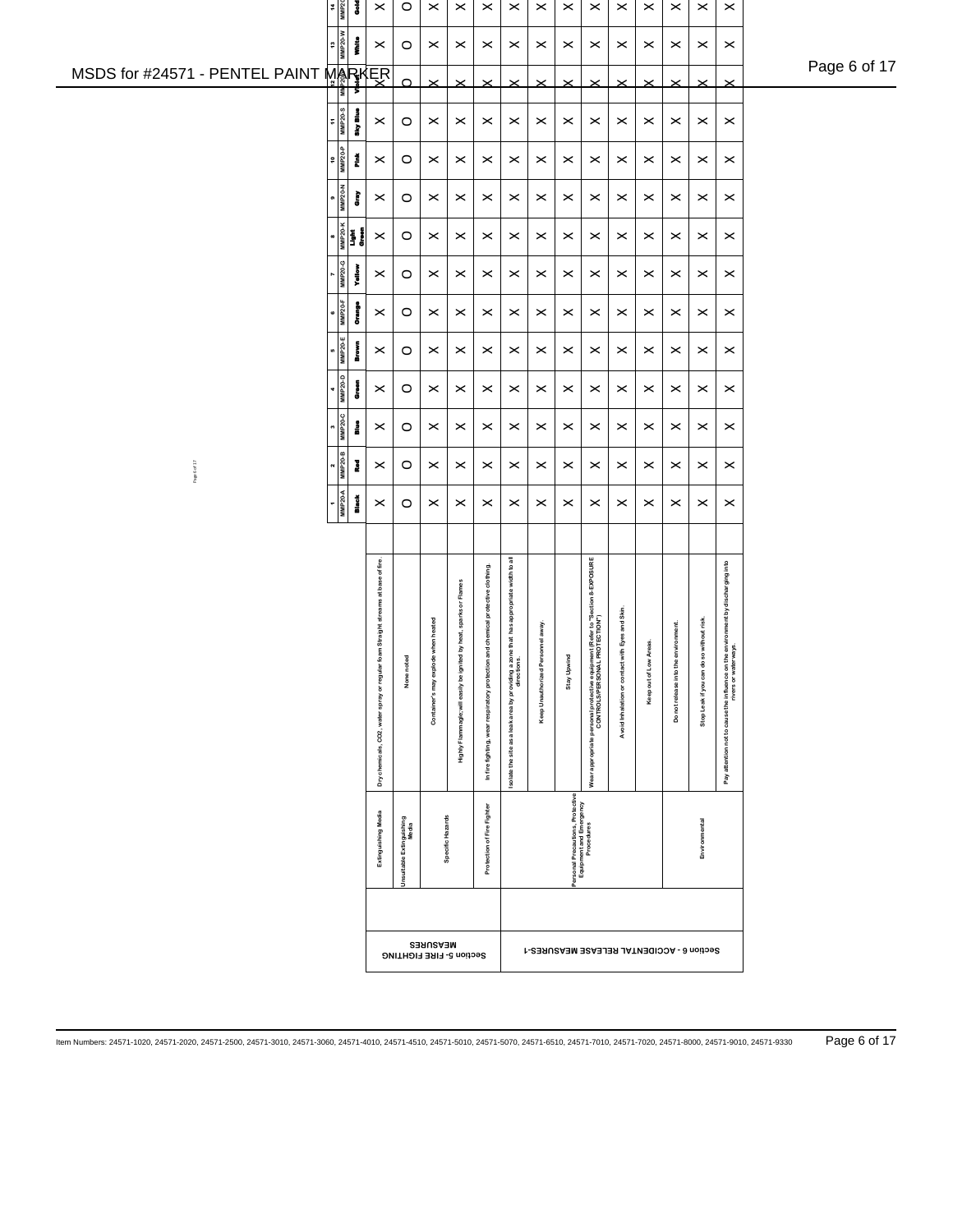|                                | 14<br>MMP20                               | š                                      | $\pmb{\times}$                                                                    | $\circ$                           | $\pmb{\times}$          | $\pmb{\times}$                           | $\pmb{\times}$                    | $\pmb{\times}$                                                                                       | $\pmb{\times}$                    | $\pmb{\times}$                                                            | $\pmb{\times}$                                                                                                 | $\times$                                        | $\pmb{\times}$        | $\pmb{\times}$          | $\pmb{\times}$             | $\pmb{\times}$                                                                                                     |              |
|--------------------------------|-------------------------------------------|----------------------------------------|-----------------------------------------------------------------------------------|-----------------------------------|-------------------------|------------------------------------------|-----------------------------------|------------------------------------------------------------------------------------------------------|-----------------------------------|---------------------------------------------------------------------------|----------------------------------------------------------------------------------------------------------------|-------------------------------------------------|-----------------------|-------------------------|----------------------------|--------------------------------------------------------------------------------------------------------------------|--------------|
|                                | $\begin{array}{c}\n13 \\ 13\n\end{array}$ | İ                                      | $\boldsymbol{\times}$                                                             | $\circ$                           | $\times$                | $\times$                                 | $\boldsymbol{\times}$             | $\,\times\,$                                                                                         | $\times$                          | $\times$                                                                  | $\boldsymbol{\times}$                                                                                          | $\times$                                        | $\times$              | $\,\times\,$            | $\,\times\,$               | $\pmb{\times}$                                                                                                     |              |
| MSDS for #24571 - PENTEL PAINT | Ιš                                        | т                                      | MARKER                                                                            | $\Omega$                          | $\times$                | $\times$                                 |                                   | $\boldsymbol{\times}$                                                                                | $\times$                          | $\times$                                                                  | $\times$                                                                                                       |                                                 | $\times$              | $\times$                | $\times$                   | $\times$                                                                                                           | Page 6 of 17 |
|                                | $\frac{11}{\text{MMP 20-8}}$              | aky Blue                               | $\boldsymbol{\times}$                                                             | $\circ$                           | $\times$                | $\times$                                 | $\boldsymbol{\times}$             | $\,\times\,$                                                                                         | $\times$                          | $\boldsymbol{\times}$                                                     | $\boldsymbol{\times}$                                                                                          | $\times$                                        | $\times$              | $\boldsymbol{\times}$   | $\times$                   | $\boldsymbol{\times}$                                                                                              |              |
|                                | $\frac{10}{10}$<br>MMP <sub>20-P</sub>    | Ě                                      | $\boldsymbol{\times}$                                                             | $\circ$                           | $\times$                | $\pmb{\times}$                           | $\boldsymbol{\times}$             | $\boldsymbol{\times}$                                                                                | $\times$                          | $\times$                                                                  | $\pmb{\times}$                                                                                                 | $\times$                                        | $\times$              | $\times$                | $\pmb{\times}$             | $\pmb{\times}$                                                                                                     |              |
|                                | $\frac{1}{\text{MMP 20-N}}$               | È                                      | $\boldsymbol{\times}$                                                             | $\circ$                           | $\times$                | $\times$                                 | $\boldsymbol{\times}$             | $\boldsymbol{\times}$                                                                                | $\times$                          | $\times$                                                                  | $\boldsymbol{\times}$                                                                                          | $\times$                                        | $\times$              | $\times$                | $\times$                   | $\pmb{\times}$                                                                                                     |              |
|                                |                                           | 8<br>MMP20-K<br><b>Cirean</b><br>Green | $\boldsymbol{\times}$                                                             | $\circ$                           | $\times$                | $\times$                                 | $\pmb{\times}$                    | $\boldsymbol{\times}$                                                                                | $\times$                          | $\boldsymbol{\times}$                                                     | $\boldsymbol{\times}$                                                                                          | $\times$                                        | $\boldsymbol{\times}$ | $\times$                | $\times$                   | $\pmb{\times}$                                                                                                     |              |
|                                | MMP20-G                                   | yale                                   | $\pmb{\times}$                                                                    | $\circ$                           | $\times$                | $\boldsymbol{\times}$                    | $\pmb{\times}$                    | $\boldsymbol{\times}$                                                                                | $\times$                          | $\boldsymbol{\times}$                                                     | $\pmb{\times}$                                                                                                 | $\times$                                        | $\times$              | $\times$                | $\pmb{\times}$             | $\boldsymbol{\times}$                                                                                              |              |
|                                | $MMP20-F$                                 | į                                      | $\boldsymbol{\times}$                                                             | $\circ$                           | $\boldsymbol{\times}$   | $\times$                                 | $\times$                          | $\boldsymbol{\times}$                                                                                | $\boldsymbol{\times}$             | $\boldsymbol{\times}$                                                     | $\boldsymbol{\times}$                                                                                          | $\times$                                        | $\boldsymbol{\times}$ | $\times$                | $\boldsymbol{\times}$      | $\boldsymbol{\times}$                                                                                              |              |
|                                | $\frac{5}{MMP20-E}$                       | Į                                      | $\boldsymbol{\times}$                                                             | $\circ$                           | $\times$                | $\times$                                 | $\times$                          | $\boldsymbol{\times}$                                                                                | $\boldsymbol{\times}$             | $\boldsymbol{\times}$                                                     | $\boldsymbol{\times}$                                                                                          | $\boldsymbol{\times}$                           | $\boldsymbol{\times}$ | $\times$                | $\boldsymbol{\times}$      | $\boldsymbol{\times}$                                                                                              |              |
|                                | $4$<br>MMP <sub>20-D</sub>                | Į                                      | $\boldsymbol{\times}$                                                             | $\circ$                           | $\times$                | $\boldsymbol{\times}$                    | $\boldsymbol{\times}$             | $\,\times\,$                                                                                         | $\boldsymbol{\times}$             | $\boldsymbol{\times}$                                                     | $\boldsymbol{\times}$                                                                                          | $\times$                                        | $\boldsymbol{\times}$ | $\times$                | $\boldsymbol{\times}$      | $\boldsymbol{\times}$                                                                                              |              |
|                                | $3$<br>MMP <sub>20-C</sub>                | å                                      | $\boldsymbol{\times}$                                                             | $\circ$                           | $\,\times\,$            | $\boldsymbol{\times}$                    | $\,\times\,$                      | $\,\times\,$                                                                                         | $\,\times\,$                      | $\boldsymbol{\times}$                                                     | $\,\times\,$                                                                                                   | $\boldsymbol{\times}$                           | $\boldsymbol{\times}$ | $\times$                | $\boldsymbol{\times}$      | $\boldsymbol{\times}$                                                                                              |              |
| Page 6 of 17                   | $\frac{2}{\text{MMP20-B}}$                | I                                      | $\boldsymbol{\times}$                                                             | $\circ$                           | $\times$                | $\pmb{\times}$                           | $\boldsymbol{\times}$             | $\boldsymbol{\times}$                                                                                | $\times$                          | $\boldsymbol{\times}$                                                     | $\pmb{\times}$                                                                                                 | $\boldsymbol{\times}$                           | $\boldsymbol{\times}$ | $\,\times\,$            | $\pmb{\times}$             | $\boldsymbol{\times}$                                                                                              |              |
|                                | $\frac{1}{\text{MMP 20-A}}$               | Black                                  | $\boldsymbol{\times}$                                                             | $\circ$                           | $\pmb{\times}$          | $\times$                                 | $\times$                          | $\boldsymbol{\times}$                                                                                | $\boldsymbol{\times}$             | $\boldsymbol{\times}$                                                     | $\boldsymbol{\times}$                                                                                          | $\times$                                        | $\times$              | $\times$                | $\boldsymbol{\times}$      | $\boldsymbol{\times}$                                                                                              |              |
|                                |                                           |                                        |                                                                                   |                                   |                         |                                          |                                   |                                                                                                      |                                   |                                                                           |                                                                                                                |                                                 |                       |                         |                            |                                                                                                                    |              |
|                                |                                           |                                        |                                                                                   |                                   |                         |                                          |                                   |                                                                                                      |                                   |                                                                           |                                                                                                                |                                                 |                       |                         |                            |                                                                                                                    |              |
|                                |                                           |                                        |                                                                                   |                                   |                         | by heat, sparks or Flames                | ind chemical protective clothing. |                                                                                                      |                                   |                                                                           |                                                                                                                |                                                 |                       |                         |                            |                                                                                                                    |              |
|                                |                                           |                                        |                                                                                   |                                   | when heated             |                                          |                                   |                                                                                                      | Keep Unauthorized Personnel away. |                                                                           |                                                                                                                | Avoid Inhalation or contact with Eyes and Skin. | Areas.                | environment.            | without risk               |                                                                                                                    |              |
|                                |                                           |                                        |                                                                                   | None noted                        | Container's may explode |                                          | respiratory protection            |                                                                                                      |                                   | Stay Upwin                                                                |                                                                                                                |                                                 | Keep out of Low       | into the<br>not release | Stop Leak if you can do so |                                                                                                                    |              |
|                                |                                           |                                        |                                                                                   |                                   |                         | Highly Flammagle; will easily be ignited |                                   |                                                                                                      |                                   |                                                                           |                                                                                                                |                                                 |                       | å                       |                            |                                                                                                                    |              |
|                                |                                           |                                        | Dry chemicals, CO2, water spray or regular foam Straight streams at base of fire. |                                   |                         |                                          | In fire fighting, wear            | isolate the site as a leak area by providing a zone that has appropriate width to all<br>directions. |                                   |                                                                           | Wear appropriate personal protective equipment (Refer to "Section & EXPOSURE<br>CONTROLS/PERSONAL PROTECTION") |                                                 |                       |                         |                            | Pay attention not to cause the influence on the environment by discharging into<br>friend the stress of waterways. |              |
|                                |                                           |                                        |                                                                                   |                                   |                         |                                          |                                   |                                                                                                      |                                   |                                                                           |                                                                                                                |                                                 |                       |                         |                            |                                                                                                                    |              |
|                                |                                           |                                        | Extinguishing Media                                                               | Unsuitable Extinguishing<br>Media |                         | Specific Hazards                         | Protection of Fire Fighter        |                                                                                                      |                                   | Personal Precautions, Protective<br>Equipment and Emergency<br>Procedures |                                                                                                                |                                                 |                       |                         | Environmental              |                                                                                                                    |              |
|                                |                                           |                                        |                                                                                   |                                   |                         |                                          |                                   |                                                                                                      |                                   |                                                                           |                                                                                                                |                                                 |                       |                         |                            |                                                                                                                    |              |
|                                |                                           |                                        | Section 5- FIRE FIGHTING                                                          | <b>MEASURES</b>                   |                         |                                          |                                   |                                                                                                      |                                   | Section 6 - ACCIDENTAL RELEASE MEASURES-1                                 |                                                                                                                |                                                 |                       |                         |                            |                                                                                                                    |              |
|                                |                                           |                                        |                                                                                   |                                   |                         |                                          |                                   |                                                                                                      |                                   |                                                                           |                                                                                                                |                                                 |                       |                         |                            |                                                                                                                    |              |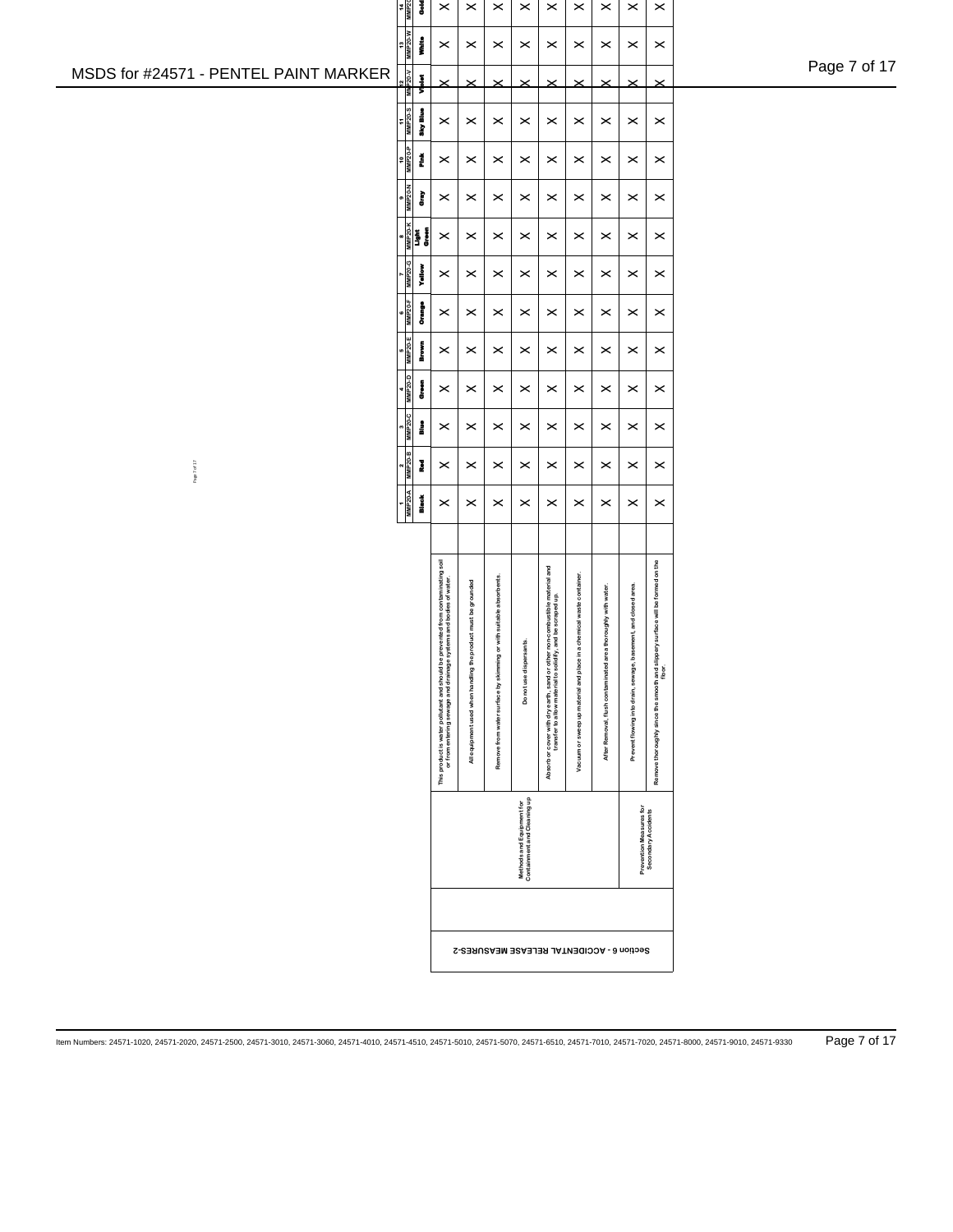| Page 7 of 17 |
|--------------|
|--------------|

| 4<br>÷.        | <b>MNP20-W</b>      | Gold<br>MMP <sub>2</sub><br>į | ×<br>×                                                                                                                                                  | ×<br>×                                                        | ×<br>×                                                                | ×<br>×                                                   | ×<br>×                                                                                                                                        | ×<br>×                                                               | ×<br>×                                                       | ×<br>×                                                        | ×<br>×                                                                                  |
|----------------|---------------------|-------------------------------|---------------------------------------------------------------------------------------------------------------------------------------------------------|---------------------------------------------------------------|-----------------------------------------------------------------------|----------------------------------------------------------|-----------------------------------------------------------------------------------------------------------------------------------------------|----------------------------------------------------------------------|--------------------------------------------------------------|---------------------------------------------------------------|-----------------------------------------------------------------------------------------|
| $\overline{a}$ |                     | <b>MMP20-V</b><br>Š           |                                                                                                                                                         |                                                               |                                                                       |                                                          |                                                                                                                                               |                                                                      |                                                              |                                                               | ×                                                                                       |
| Ŧ              | <b>MMP20-S</b>      | aky Blue                      | ×                                                                                                                                                       | ×                                                             | ×                                                                     | ×                                                        | ×                                                                                                                                             | ×                                                                    | ×                                                            | ×                                                             | ×                                                                                       |
| ş              |                     | <b>MMP20-P</b><br>ž           | ×                                                                                                                                                       | ×                                                             | ×                                                                     | ×                                                        | ×                                                                                                                                             | ×                                                                    | ×                                                            | ×                                                             | ×                                                                                       |
| œ              |                     | <b>MMP20-N</b><br>È           | ×                                                                                                                                                       | ×                                                             | ×                                                                     | ×                                                        | ×                                                                                                                                             | ×                                                                    | ×                                                            | ×                                                             | ×                                                                                       |
| 8              |                     | <b>MMP20-K</b><br>į<br>Š      | ×                                                                                                                                                       | ×                                                             | ×                                                                     | ×                                                        | ×                                                                                                                                             | ×                                                                    | ×                                                            | ×                                                             | ×                                                                                       |
| r              | MMP <sub>20-G</sub> | Yallow                        | ×                                                                                                                                                       | ×                                                             | ×                                                                     | ×                                                        | ×                                                                                                                                             | ×                                                                    | ×                                                            | ×                                                             | ×                                                                                       |
| ¢              | MMP <sub>20-F</sub> | į                             | ×                                                                                                                                                       | ×                                                             | ×                                                                     | ×                                                        | ×                                                                                                                                             | ×                                                                    | ×                                                            | ×                                                             | ×                                                                                       |
| 10             | MMP20-E             | i<br>Septem                   | ×                                                                                                                                                       | ×                                                             | ×                                                                     | ×                                                        | ×                                                                                                                                             | ×                                                                    | ×                                                            | ×                                                             | ×                                                                                       |
| 4              |                     | MMP20-D<br>į                  | ×                                                                                                                                                       | ×                                                             | ×                                                                     | ×                                                        | ×                                                                                                                                             | ×                                                                    | ×                                                            | ×                                                             | ×                                                                                       |
| m              | MMP <sub>20-C</sub> | i                             | ×                                                                                                                                                       | ×                                                             | ×                                                                     | ×                                                        | ×                                                                                                                                             | ×                                                                    | ×                                                            | ×                                                             | ×                                                                                       |
| N              |                     | <b>MMP20-B</b><br>Į           | ×                                                                                                                                                       | ×                                                             | ×                                                                     | ×                                                        | ×                                                                                                                                             | ×                                                                    | ×                                                            | ×                                                             | ×                                                                                       |
|                |                     | MMP20-A<br>Black              | ×                                                                                                                                                       | ×                                                             | ×                                                                     | ×                                                        | ×                                                                                                                                             | ×                                                                    | ×                                                            | ×                                                             | ×                                                                                       |
|                |                     |                               |                                                                                                                                                         |                                                               |                                                                       |                                                          |                                                                                                                                               |                                                                      |                                                              |                                                               |                                                                                         |
|                |                     |                               | prevented from contaminating soil<br>or from entering sewage and drainage systems and bodies of water.<br>This product is water pollutant and should be | All equipment used when handling the product must be grounded | or with suitable absorbents.<br>Remove from water surface by skimming | Do not use dispersants.                                  | Absorb or cover with dry earth, sand or other non-combustible material and<br>fy, and be scraped up.<br>transfer to allow material to solidif | Vacuum or sweep up material and place in a chemical waste container. | After Removal, flush contaminated area thoroughly with water | Prevent flowing into drain, sewage, basement, and closed area | Remove thoroughly since the smooth and slippery surface will be formed on the<br>floor. |
|                |                     |                               |                                                                                                                                                         |                                                               |                                                                       | Containment and Cleaning up<br>Methods and Equipment for |                                                                                                                                               |                                                                      |                                                              | Prevention Measures for                                       | Secondary Accidents                                                                     |
|                |                     |                               |                                                                                                                                                         | Section 6 - ACCIDENTAL RELEASE MEASURES-2                     |                                                                       |                                                          |                                                                                                                                               |                                                                      |                                                              |                                                               |                                                                                         |

## MSDS for #24571 - PENTEL PAINT MARKER

Page 7 of 17

Item Numbers: 24571-1020, 24571-2020, 24571-2500, 24571-3010, 24571-3060, 24571-4010, 24571-4510, 24571-5010, 24571-5070, 24571-6510, 24571-7010, 24571-7020, 24571-8000, 24571-9010, 24571-9330 Page 7 of 17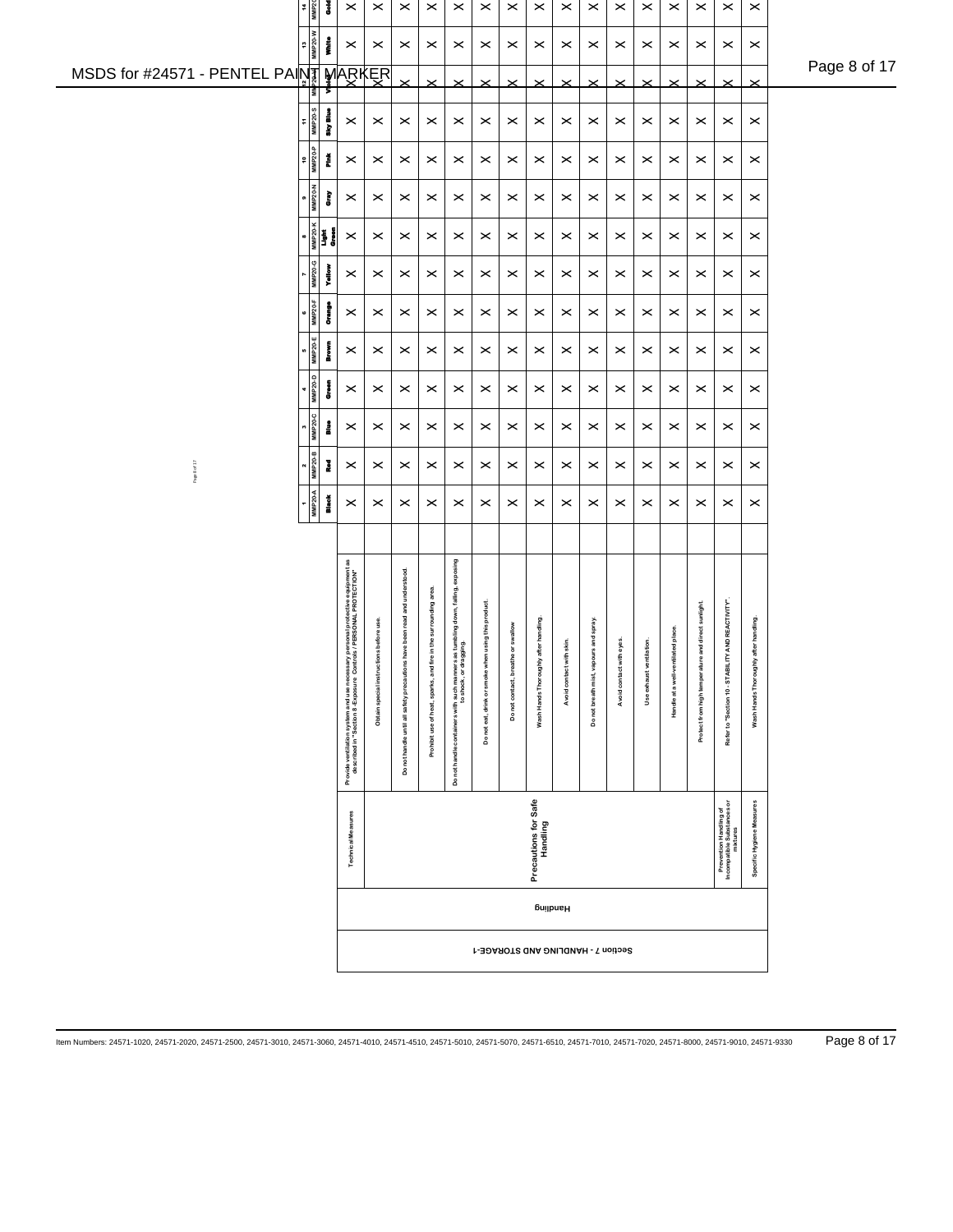|              |                | MMP20-G<br><b>Yellow</b><br><b>MMP20-F</b><br>į<br><b>MMP20-E</b><br>Brown | $\pmb{\times}$<br>$\pmb{\times}$                                                                                                                  | $\boldsymbol{\times}$<br>$\,\times\,$                 | $\boldsymbol{\times}$<br>$\boldsymbol{\times}$                           | $\times$<br>$\boldsymbol{\times}$                                 | ×<br>$\times$                                                                                            | $\boldsymbol{\times}$<br>$\boldsymbol{\times}$                          | ×<br>$\boldsymbol{\times}$                          | $\boldsymbol{\times}$<br>$\boldsymbol{\times}$                          | $\boldsymbol{\times}$<br>$\,\times\,$                          | $\times$<br>$\times$                      | $\,\times\,$<br>$\,\times\,$                   | $\boldsymbol{\times}$<br>$\,\times\,$                    | $\boldsymbol{\times}$<br>$\boldsymbol{\times}$ | $\times$<br>$\times$                                  | $\times$<br>$\times$                                             | $\boldsymbol{\times}$<br>$\boldsymbol{\times}$            |  |
|--------------|----------------|----------------------------------------------------------------------------|---------------------------------------------------------------------------------------------------------------------------------------------------|-------------------------------------------------------|--------------------------------------------------------------------------|-------------------------------------------------------------------|----------------------------------------------------------------------------------------------------------|-------------------------------------------------------------------------|-----------------------------------------------------|-------------------------------------------------------------------------|----------------------------------------------------------------|-------------------------------------------|------------------------------------------------|----------------------------------------------------------|------------------------------------------------|-------------------------------------------------------|------------------------------------------------------------------|-----------------------------------------------------------|--|
| Page 8 of 17 |                | <b>MMP20-D</b><br>e<br>Green<br><b>MMP20-C</b><br>å<br><b>MMP20-B</b><br>Į | $\boldsymbol{\times}$<br>$\pmb{\times}$<br>$\pmb{\times}$                                                                                         | $\boldsymbol{\times}$<br>$\,\times\,$<br>$\,\times\,$ | $\boldsymbol{\times}$<br>$\boldsymbol{\times}$<br>$\boldsymbol{\times}$  | $\times$<br>$\times$<br>$\boldsymbol{\times}$                     | ×<br>$\times$<br>$\times$                                                                                | $\boldsymbol{\times}$<br>$\boldsymbol{\times}$<br>$\boldsymbol{\times}$ | ×<br>$\boldsymbol{\times}$<br>$\boldsymbol{\times}$ | $\boldsymbol{\times}$<br>$\boldsymbol{\times}$<br>$\boldsymbol{\times}$ | $\boldsymbol{\times}$<br>$\boldsymbol{\times}$<br>$\,\times\,$ | ×<br>$\times$<br>$\boldsymbol{\times}$    | $\,\times\,$<br>$\,\times\,$<br>$\pmb{\times}$ | $\boldsymbol{\times}$<br>$\,\varkappa\,$<br>$\,\times\,$ | $\boldsymbol{\times}$<br>×<br>×                | $\times$<br>$\,\times\,$<br>$\times$                  | $\times$<br>$\boldsymbol{\times}$<br>$\times$                    | $\boldsymbol{\times}$<br>$\pmb{\times}$<br>$\pmb{\times}$ |  |
|              | <b>MMP20-A</b> | <b>Black</b>                                                               | $\boldsymbol{\times}$                                                                                                                             | $\times$                                              | $\boldsymbol{\times}$                                                    | $\boldsymbol{\times}$                                             | $\times$                                                                                                 | $\times$                                                                | ×                                                   | $\boldsymbol{\times}$                                                   | $\boldsymbol{\times}$                                          | $\times$                                  | $\boldsymbol{\times}$                          | $\boldsymbol{\times}$                                    | $\boldsymbol{\times}$                          | $\times$                                              | $\times$                                                         | $\boldsymbol{\times}$                                     |  |
|              |                |                                                                            | Provide ventilation system and use necessary personal protective equipment as<br>described in "Section 8-Exposure Controls / PERSONAL PROTECTION" | <b>us</b> before use<br>Obtain special instruction    | Do not handle until all safety precautions have been read and understood | in the surrounding area<br>Prohibit use of heat, sparks, and fire | Do not handle containers with such manners as tumbling down, falling, exposing<br>to shock, or dragging. | using this product.<br>Do not eat, drink or smoke whe                   | or swallow<br>Do not contact, breathe               | after handling<br>Wash Hands Thoroughly                                 | h skin.<br>Avoid contact wit                                   | urs and spray<br>Do not breath mist, vapo | eyes.<br>Avoid contact with                    | ilation.<br>Use exhaust vent                             | Handle at a well-ventilated place              | and direct sunlight.<br>Protect from high temperature | AND REACTIVITY".<br>Refer to "Section 10 - STABILITY             | after handling.<br>Wash Hands Thoroughly                  |  |
|              |                |                                                                            |                                                                                                                                                   |                                                       |                                                                          |                                                                   |                                                                                                          |                                                                         |                                                     |                                                                         |                                                                |                                           |                                                |                                                          |                                                |                                                       |                                                                  |                                                           |  |
|              |                |                                                                            | <b>Technical Measures</b>                                                                                                                         |                                                       |                                                                          |                                                                   |                                                                                                          |                                                                         |                                                     | Precautions for Safe<br>Handling                                        |                                                                |                                           |                                                |                                                          |                                                |                                                       | Prevention Handling of<br>Incompatible Substances or<br>mixtures | Specific Hygiene Measures                                 |  |
|              |                |                                                                            |                                                                                                                                                   |                                                       |                                                                          |                                                                   |                                                                                                          |                                                                         |                                                     |                                                                         |                                                                |                                           |                                                |                                                          |                                                |                                                       |                                                                  |                                                           |  |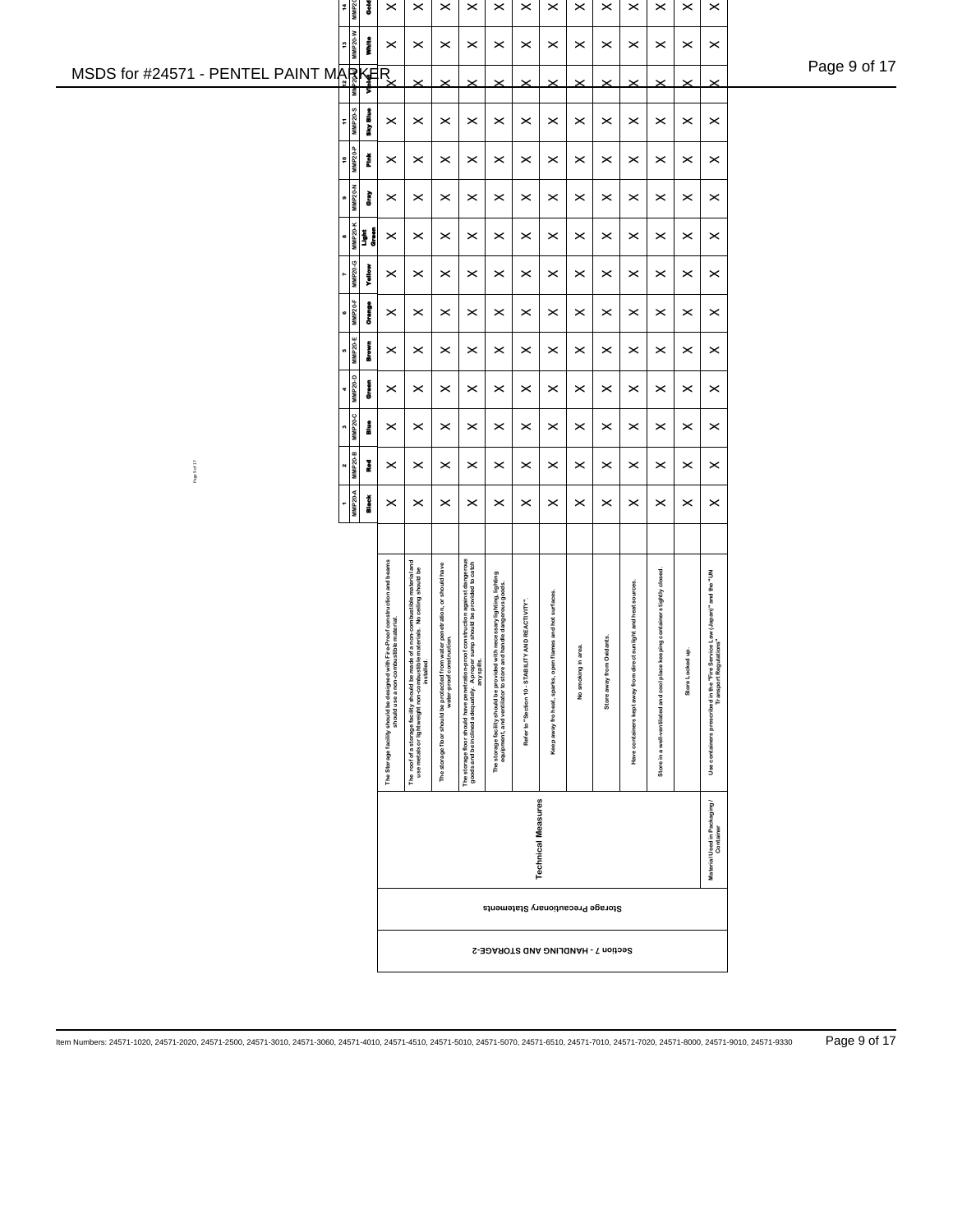| 14<br>MMP20                           | š                                                                                                                                                                                                                                                           | $\boldsymbol{\times}$                                                                                                    | $\pmb{\times}$                                                                                           | $\times$                                                                                                  | $\pmb{\times}$                                                                                                                                                | $\times$                                                                                                                                    | $\times$                         | $\pmb{\times}$                                           | $\boldsymbol{\times}$ | $\times$                           | $\pmb{\times}$                        | $\times$                                     | $\pmb{\times}$        | $\pmb{\times}$                                                                                    |              |
|---------------------------------------|-------------------------------------------------------------------------------------------------------------------------------------------------------------------------------------------------------------------------------------------------------------|--------------------------------------------------------------------------------------------------------------------------|----------------------------------------------------------------------------------------------------------|-----------------------------------------------------------------------------------------------------------|---------------------------------------------------------------------------------------------------------------------------------------------------------------|---------------------------------------------------------------------------------------------------------------------------------------------|----------------------------------|----------------------------------------------------------|-----------------------|------------------------------------|---------------------------------------|----------------------------------------------|-----------------------|---------------------------------------------------------------------------------------------------|--------------|
| ÷                                     | <b>MMP20-W</b><br>į                                                                                                                                                                                                                                         | $\times$                                                                                                                 | $\,\times\,$                                                                                             | $\boldsymbol{\times}$                                                                                     | $\boldsymbol{\times}$                                                                                                                                         | $\boldsymbol{\times}$                                                                                                                       | $\times$                         | $\,\times\,$                                             | $\times$              | $\boldsymbol{\times}$              | $\,\times\,$                          | $\boldsymbol{\times}$                        | $\boldsymbol{\times}$ | $\pmb{\times}$                                                                                    | Page 9 of 17 |
| MSDS for #24571 - PENTEL PAINT MARKER | Š                                                                                                                                                                                                                                                           |                                                                                                                          | $\times$                                                                                                 | $\times$                                                                                                  | $\times$                                                                                                                                                      | $\times$                                                                                                                                    |                                  | $\times$                                                 | $\times$              | $\times$                           | $\times$                              | $\pmb{\times}$                               | $\times$              | $\times$                                                                                          |              |
| ÷                                     | MMP20-S<br>Sky Blue                                                                                                                                                                                                                                         | $\times$                                                                                                                 | $\times$                                                                                                 | $\boldsymbol{\times}$                                                                                     | $\boldsymbol{\times}$                                                                                                                                         | $\times$                                                                                                                                    | $\times$                         | $\times$                                                 | $\boldsymbol{\times}$ | $\boldsymbol{\times}$              | $\boldsymbol{\times}$                 | $\times$                                     | $\times$              | $\,\times\,$                                                                                      |              |
| $\mathop{\mathtt{e}}$                 | MMP20-P<br>Ĕ                                                                                                                                                                                                                                                | $\times$                                                                                                                 | $\times$                                                                                                 | $\times$                                                                                                  | $\boldsymbol{\times}$                                                                                                                                         | $\times$                                                                                                                                    | $\times$                         | $\times$                                                 | $\times$              | $\times$                           | $\times$                              | $\times$                                     | $\boldsymbol{\times}$ | $\pmb{\times}$                                                                                    |              |
|                                       | MMP20-N<br>ţ                                                                                                                                                                                                                                                | $\times$                                                                                                                 | $\times$                                                                                                 | $\times$                                                                                                  | $\times$                                                                                                                                                      | $\times$                                                                                                                                    | $\times$                         | $\times$                                                 | $\times$              | $\times$                           | $\boldsymbol{\times}$                 | $\times$                                     | $\boldsymbol{\times}$ | $\pmb{\times}$                                                                                    |              |
| œ                                     | <b>MMP20-K</b><br><b>Second</b><br>Conservation of the operator<br>Seconds of the operator of the operator of the second seconds in the second second second the second second second second second second second second second second second second second | $\boldsymbol{\times}$                                                                                                    | $\,\times\,$                                                                                             | $\times$                                                                                                  | $\boldsymbol{\times}$                                                                                                                                         | $\boldsymbol{\times}$                                                                                                                       | $\times$                         | $\,\times\,$                                             | $\times$              | $\boldsymbol{\times}$              | $\boldsymbol{\times}$                 | $\times$                                     | $\boldsymbol{\times}$ | $\pmb{\times}$                                                                                    |              |
|                                       | MMP20-G<br>Yellow                                                                                                                                                                                                                                           | $\times$                                                                                                                 | $\boldsymbol{\times}$                                                                                    | $\times$                                                                                                  | $\boldsymbol{\times}$                                                                                                                                         | $\boldsymbol{\times}$                                                                                                                       | $\times$                         | $\times$                                                 | $\times$              | $\boldsymbol{\times}$              | $\boldsymbol{\times}$                 | $\boldsymbol{\times}$                        | $\times$              | $\pmb{\times}$                                                                                    |              |
| c                                     | <b>MMP20-F</b><br>į                                                                                                                                                                                                                                         | $\times$                                                                                                                 | $\boldsymbol{\times}$                                                                                    | $\boldsymbol{\times}$                                                                                     | ×                                                                                                                                                             | ×                                                                                                                                           | ×                                | $\times$                                                 | $\boldsymbol{\times}$ | ×                                  | $\times$                              | $\times$                                     | $\times$              | $\,\times\,$                                                                                      |              |
| w                                     | MMP20-E<br><b>Brown</b>                                                                                                                                                                                                                                     | $\boldsymbol{\times}$                                                                                                    | $\,\times\,$                                                                                             | $\boldsymbol{\times}$                                                                                     | $\boldsymbol{\times}$                                                                                                                                         | $\boldsymbol{\times}$                                                                                                                       | $\boldsymbol{\times}$            | $\,\times\,$                                             | $\times$              | $\boldsymbol{\times}$              | $\,\times\,$                          | $\times$                                     | $\times$              | $\boldsymbol{\times}$                                                                             |              |
| 4                                     | MMP20-D<br>į                                                                                                                                                                                                                                                | $\times$                                                                                                                 | $\boldsymbol{\times}$                                                                                    | $\times$                                                                                                  | ×                                                                                                                                                             | ×                                                                                                                                           | ×                                | $\,\times\,$                                             | $\boldsymbol{\times}$ | ×                                  | $\boldsymbol{\times}$                 | $\times$                                     | $\times$              | $\boldsymbol{\times}$                                                                             |              |
|                                       | <b>MMP20-C</b><br>å                                                                                                                                                                                                                                         | $\boldsymbol{\times}$                                                                                                    | $\boldsymbol{\times}$                                                                                    | $\boldsymbol{\times}$                                                                                     | $\boldsymbol{\times}$                                                                                                                                         | $\boldsymbol{\times}$                                                                                                                       | $\times$                         | $\,\times\,$                                             | $\boldsymbol{\times}$ | $\boldsymbol{\times}$              | $\boldsymbol{\times}$                 | $\boldsymbol{\times}$                        | $\boldsymbol{\times}$ | $\,\times\,$                                                                                      |              |
| Page 9 of 17<br>N                     | <b>MMP20-B</b><br>ł                                                                                                                                                                                                                                         | $\times$                                                                                                                 | $\boldsymbol{\times}$                                                                                    | $\boldsymbol{\times}$                                                                                     | $\boldsymbol{\times}$                                                                                                                                         | $\times$                                                                                                                                    | $\times$                         | $\,\times\,$                                             | $\times$              | $\boldsymbol{\times}$              | $\boldsymbol{\times}$                 | $\times$                                     | $\times$              | $\boldsymbol{\times}$                                                                             |              |
|                                       | <b>MMP20-A</b><br><b>Black</b>                                                                                                                                                                                                                              | $\times$                                                                                                                 | $\boldsymbol{\times}$                                                                                    | $\times$                                                                                                  | $\boldsymbol{\times}$                                                                                                                                         | $\times$                                                                                                                                    | $\times$                         | $\times$                                                 | $\boldsymbol{\times}$ | $\boldsymbol{\times}$              | $\boldsymbol{\times}$                 | $\times$                                     | $\times$              | $\boldsymbol{\times}$                                                                             |              |
|                                       |                                                                                                                                                                                                                                                             |                                                                                                                          |                                                                                                          |                                                                                                           |                                                                                                                                                               |                                                                                                                                             |                                  |                                                          |                       |                                    |                                       |                                              |                       |                                                                                                   |              |
|                                       |                                                                                                                                                                                                                                                             |                                                                                                                          | of a non-combustible material and<br>materials. No ceiling should be                                     |                                                                                                           |                                                                                                                                                               |                                                                                                                                             | AND REACTIVITY".                 |                                                          |                       |                                    | sunlight and heat sources.            | cool place keeping containers tightly closed |                       |                                                                                                   |              |
|                                       |                                                                                                                                                                                                                                                             | The Storage facility should be designed with Fire-Proof construction and beams<br>should use a non-combustible material. | The roof of a storage facility should be made<br>use metals or lightweight non-combustible<br>installed. | The storage floor should be protected from water penetration, or should have<br>water-proof construction. | The storage floor should have penetration-proof construction against dangerous<br>goods and be inclined adequately. A proper sump should be provided to catch | The storage facility should be provided with necessary lighting, lighting<br>equipment, and ventilator to store and handle dangerous goods. | Refer to "Section 10 - STABILIT" | Keep away fro heat, sparks, open flames and hot surfaces | No smoking in area.   | Store away from Oxidants           | Have containers kept away from direct | ventilated and<br>Store in a well-           | ġ<br>Store Locked     | Use containers prescribed in the "Fire Service Law (Japan)" and the "UN<br>Transport Regulations" |              |
|                                       |                                                                                                                                                                                                                                                             |                                                                                                                          |                                                                                                          |                                                                                                           |                                                                                                                                                               |                                                                                                                                             | <b>Technical Measures</b>        |                                                          |                       |                                    |                                       |                                              |                       | Material Used in Packaging/<br>Container                                                          |              |
|                                       |                                                                                                                                                                                                                                                             |                                                                                                                          |                                                                                                          |                                                                                                           |                                                                                                                                                               |                                                                                                                                             |                                  |                                                          |                       | Storage Precautionary Statements   |                                       |                                              |                       |                                                                                                   |              |
|                                       |                                                                                                                                                                                                                                                             |                                                                                                                          |                                                                                                          |                                                                                                           |                                                                                                                                                               |                                                                                                                                             |                                  |                                                          |                       | Section 7 - HANDLING AND STORAGE-2 |                                       |                                              |                       |                                                                                                   |              |
|                                       |                                                                                                                                                                                                                                                             |                                                                                                                          |                                                                                                          |                                                                                                           |                                                                                                                                                               |                                                                                                                                             |                                  |                                                          |                       |                                    |                                       |                                              |                       |                                                                                                   |              |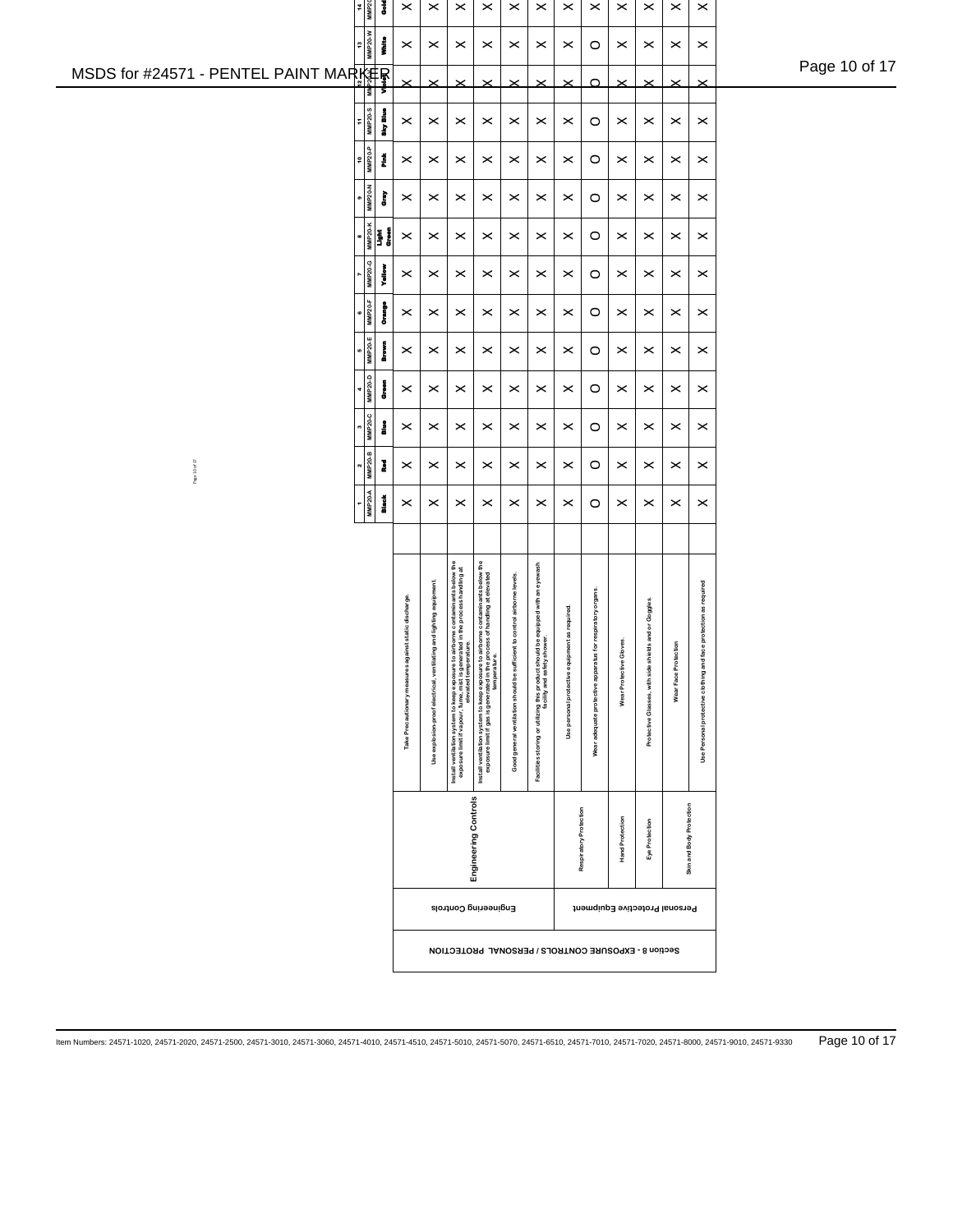|                                                     | 14<br>MMP20               | š            | $\times$                       | $\pmb{\times}$                                | $\pmb{\times}$                                                                                                                                                   | $\times$                                                                                                                                                 | $\pmb{\times}$                             | $\pmb{\times}$                                                                                                                        | $\pmb{\times}$                | $\boldsymbol{\times}$                                     | $\boldsymbol{\times}$      | $\pmb{\times}$                                       | $\times$                  | $\pmb{\times}$                         |               |
|-----------------------------------------------------|---------------------------|--------------|--------------------------------|-----------------------------------------------|------------------------------------------------------------------------------------------------------------------------------------------------------------------|----------------------------------------------------------------------------------------------------------------------------------------------------------|--------------------------------------------|---------------------------------------------------------------------------------------------------------------------------------------|-------------------------------|-----------------------------------------------------------|----------------------------|------------------------------------------------------|---------------------------|----------------------------------------|---------------|
|                                                     | <b>MMP20-W</b><br>≌       | į            | $\boldsymbol{\times}$          | $\,\times\,$                                  | $\boldsymbol{\times}$                                                                                                                                            | $\boldsymbol{\times}$                                                                                                                                    | $\boldsymbol{\times}$                      | $\,\times\,$                                                                                                                          | $\,\times\,$                  | $\circ$                                                   | $\times$                   | $\boldsymbol{\times}$                                | $\boldsymbol{\times}$     | $\boldsymbol{\times}$                  | Page 10 of 17 |
| MSDS for #24571 - PENTEL PAINT MARKER<br>- أَيُّ أَ | MM                        |              | $\times$                       | ×                                             | $\times$                                                                                                                                                         | ×                                                                                                                                                        | ×                                          | $\times$                                                                                                                              | $\times$                      | $\Omega$                                                  |                            | $\times$                                             | $\times$                  | $\times$                               |               |
|                                                     | <b>MMP20-S</b>            | Sky Blue     | $\times$                       | $\,\times\,$                                  | $\times$                                                                                                                                                         | $\boldsymbol{\times}$                                                                                                                                    | $\boldsymbol{\times}$                      | $\,\times\,$                                                                                                                          | $\boldsymbol{\times}$         | $\circ$                                                   | $\times$                   | $\boldsymbol{\times}$                                | $\pmb{\times}$            | $\boldsymbol{\times}$                  |               |
|                                                     | $MMP20-P$<br>e,           | Ĭ            | $\boldsymbol{\times}$          | $\boldsymbol{\times}$                         | $\times$                                                                                                                                                         | $\times$                                                                                                                                                 | $\times$                                   | $\boldsymbol{\times}$                                                                                                                 | $\times$                      | $\circ$                                                   | $\times$                   | $\boldsymbol{\times}$                                | $\times$                  | $\times$                               |               |
|                                                     | <b>MMP20-N</b>            | Ĵ            | $\boldsymbol{\times}$          | $\boldsymbol{\times}$                         | $\boldsymbol{\times}$                                                                                                                                            | $\times$                                                                                                                                                 | $\times$                                   | $\times$                                                                                                                              | $\times$                      | $\circ$                                                   | $\times$                   | $\boldsymbol{\times}$                                | $\times$                  | $\boldsymbol{\times}$                  |               |
|                                                     | MMP20-K<br>Light<br>Green |              | $\boldsymbol{\times}$          | $\,\times\,$                                  | $\times$                                                                                                                                                         | $\times$                                                                                                                                                 | $\boldsymbol{\times}$                      | $\boldsymbol{\times}$                                                                                                                 | $\boldsymbol{\times}$         | $\circ$                                                   | $\times$                   | $\boldsymbol{\times}$                                | $\pmb{\times}$            | $\boldsymbol{\times}$                  |               |
|                                                     | <b>MMP20-G</b>            | į            | $\boldsymbol{\times}$          | $\boldsymbol{\times}$                         | $\times$                                                                                                                                                         | $\boldsymbol{\times}$                                                                                                                                    | $\boldsymbol{\times}$                      | $\boldsymbol{\times}$                                                                                                                 | $\boldsymbol{\times}$         | $\circ$                                                   | $\times$                   | $\boldsymbol{\times}$                                | $\times$                  | $\boldsymbol{\times}$                  |               |
|                                                     | <b>MMP20-F</b>            | õ            | $\boldsymbol{\times}$          | $\,\times\,$                                  | ×                                                                                                                                                                | $\boldsymbol{\times}$                                                                                                                                    | $\boldsymbol{\times}$                      | $\boldsymbol{\times}$                                                                                                                 | $\boldsymbol{\times}$         | $\circ$                                                   | $\times$                   | $\boldsymbol{\times}$                                | $\times$                  | $\times$                               |               |
|                                                     | <b>MMP20-E</b>            | å            | $\boldsymbol{\times}$          | $\,\times\,$                                  | $\times$                                                                                                                                                         | $\times$                                                                                                                                                 | $\boldsymbol{\times}$                      | $\,\times\,$                                                                                                                          | $\boldsymbol{\times}$         | $\circ$                                                   | $\boldsymbol{\times}$      | $\boldsymbol{\times}$                                | $\times$                  | $\boldsymbol{\times}$                  |               |
|                                                     | <b>MMP20-D</b>            | å            | $\boldsymbol{\times}$          | $\,\times\,$                                  | $\boldsymbol{\times}$                                                                                                                                            | ×                                                                                                                                                        | $\boldsymbol{\times}$                      | $\boldsymbol{\times}$                                                                                                                 | $\times$                      | $\circ$                                                   | $\times$                   | $\boldsymbol{\times}$                                | $\times$                  | $\boldsymbol{\times}$                  |               |
|                                                     | <b>MMP20-C</b>            | å            | $\times$                       | $\boldsymbol{\times}$                         | $\boldsymbol{\times}$                                                                                                                                            | $\boldsymbol{\times}$                                                                                                                                    | $\boldsymbol{\times}$                      | $\,\times\,$                                                                                                                          | $\boldsymbol{\times}$         | $\circ$                                                   | $\boldsymbol{\times}$      | $\boldsymbol{\times}$                                | $\boldsymbol{\times}$     | $\boldsymbol{\times}$                  |               |
| Page 10of 17                                        | <b>MMP20-B</b>            | ł            | $\boldsymbol{\times}$          | $\boldsymbol{\times}$                         | $\times$                                                                                                                                                         | $\boldsymbol{\times}$                                                                                                                                    | $\boldsymbol{\times}$                      | $\boldsymbol{\times}$                                                                                                                 | $\boldsymbol{\times}$         | $\circ$                                                   | $\boldsymbol{\times}$      | $\boldsymbol{\times}$                                | $\boldsymbol{\times}$     | $\boldsymbol{\times}$                  |               |
|                                                     | <b>MMP20-A</b>            | <b>Black</b> | $\boldsymbol{\times}$          | $\times$                                      | $\boldsymbol{\times}$                                                                                                                                            | $\times$                                                                                                                                                 | $\boldsymbol{\times}$                      | $\boldsymbol{\times}$                                                                                                                 | $\boldsymbol{\times}$         | $\circ$                                                   | $\times$                   | $\boldsymbol{\times}$                                | $\times$                  | $\boldsymbol{\times}$                  |               |
|                                                     |                           |              |                                |                                               |                                                                                                                                                                  |                                                                                                                                                          |                                            |                                                                                                                                       |                               |                                                           |                            |                                                      |                           |                                        |               |
|                                                     |                           |              | ainst static discharge         | ing and lighting equipment.                   |                                                                                                                                                                  |                                                                                                                                                          | lent to control airborne levels.           |                                                                                                                                       | ment as required.             |                                                           |                            |                                                      |                           | ace protection as required             |               |
|                                                     |                           |              | Take Precautionary measures ag | ventilat<br>explosion-proofelectrical,<br>Use | Install ventilation system to keep exposure to airborne contaminants below the<br>exposure limit if vapour, function temperature in the process handling at<br>. | Install ventilistion system to keep exposure to airborne contaminants below the<br>exposure limit if gas is generalement throwse of handling at elevated | Good general ventilation should be suffici | Facilities storing or utilizing this product should be equipped with an eyewash<br>Facilities storing or utilizing the safety shower. | Use personal protective equip | Wear adequate protective apparatus for respiratory organs | Gloves.<br>Wear Protective | Protective Glasses, with side shields and or Goggles | iction<br>Wear Face Prote | Use Personal protective clothing and t |               |
|                                                     |                           |              |                                |                                               |                                                                                                                                                                  | Engineering Controls                                                                                                                                     |                                            |                                                                                                                                       | Respiratory Protection        |                                                           | Hand Protection            | Eye Protection                                       |                           | Skin and Body Protection               |               |
|                                                     |                           |              |                                |                                               | Engineering Controls                                                                                                                                             |                                                                                                                                                          |                                            |                                                                                                                                       |                               | Personal Protective Equipment                             |                            |                                                      |                           |                                        |               |
|                                                     |                           |              |                                |                                               | Section 8 - EXPOSURE CONTROLS / PERSONAL PROTECTION                                                                                                              |                                                                                                                                                          |                                            |                                                                                                                                       |                               |                                                           |                            |                                                      |                           |                                        |               |
|                                                     |                           |              |                                |                                               |                                                                                                                                                                  |                                                                                                                                                          |                                            |                                                                                                                                       |                               |                                                           |                            |                                                      |                           |                                        |               |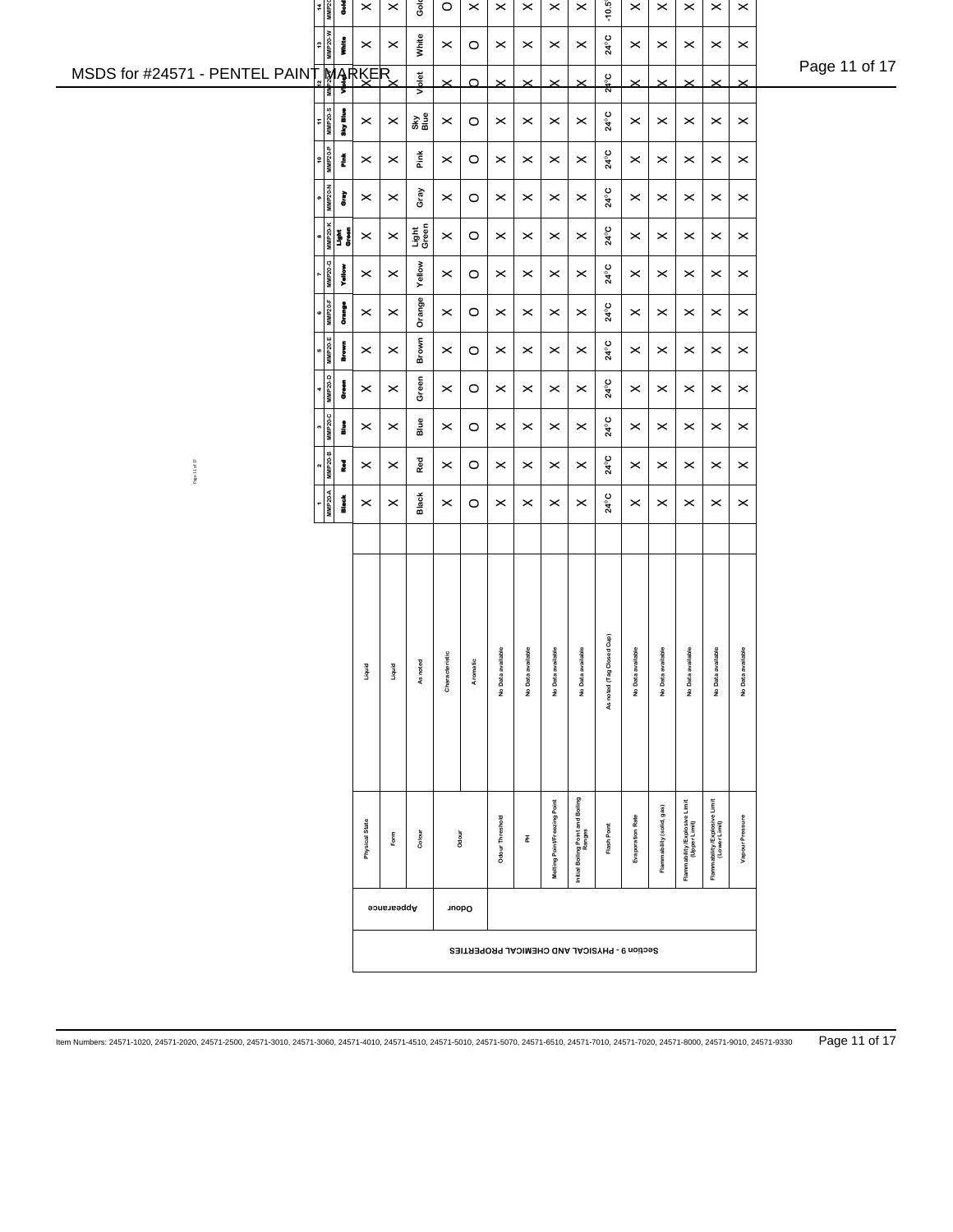|                                       | $\frac{14}{MMP20}$                                                                                          | š          | $\times$              | $\pmb{\times}$           | Ğ              | $\circ$        | $\boldsymbol{\times}$ | $\times$              | $\pmb{\times}$        | $\times$                     | $\boldsymbol{\times}$                       | $-10.5^{\circ}$                              | $\times$                | $\pmb{\times}$            | $\times$                                       | $\pmb{\times}$                                 | $\pmb{\times}$        |               |
|---------------------------------------|-------------------------------------------------------------------------------------------------------------|------------|-----------------------|--------------------------|----------------|----------------|-----------------------|-----------------------|-----------------------|------------------------------|---------------------------------------------|----------------------------------------------|-------------------------|---------------------------|------------------------------------------------|------------------------------------------------|-----------------------|---------------|
|                                       | 13<br>MMP20-W                                                                                               | į          | $\,\times\,$          | $\boldsymbol{\times}$    | White          | $\times$       | $\circ$               | $\times$              | $\boldsymbol{\times}$ | $\times$                     | $\times$                                    | 24°C                                         | $\boldsymbol{\times}$   | $\boldsymbol{\times}$     | $\times$                                       | $\times$                                       | $\boldsymbol{\times}$ | Page 11 of 17 |
| MSDS for #24571 - PENTEL PAINT MARKER |                                                                                                             |            |                       |                          | Viplet         | $\times$       | $\Omega$              | $\times$              | $\times$              | $\times$                     | $\times$                                    | $2^{\circ}$                                  | $\times$                | $\times$                  | $\times$                                       | $\times$                                       | $\times$              |               |
|                                       | $11$<br>MMP <sub>20-S</sub>                                                                                 | Sky Blue   | $\boldsymbol{\times}$ | $\boldsymbol{\times}$    | 용을<br>메        | $\times$       | $\circ$               | $\boldsymbol{\times}$ | $\boldsymbol{\times}$ | $\times$                     | $\times$                                    | 24°C                                         | $\boldsymbol{\times}$   | $\boldsymbol{\times}$     | $\times$                                       | $\times$                                       | $\boldsymbol{\times}$ |               |
|                                       | 10<br>MMP20-P                                                                                               | Ě          | $\times$              | $\times$                 | Pink           | $\times$       | $\circ$               | $\times$              | $\times$              | $\times$                     | $\times$                                    | 24°C                                         | $\times$                | $\boldsymbol{\times}$     | $\times$                                       | $\times$                                       | $\boldsymbol{\times}$ |               |
|                                       | MMP20-N                                                                                                     | È          | $\times$              | $\boldsymbol{\times}$    | Gray           | $\times$       | $\circ$               | $\boldsymbol{\times}$ | $\boldsymbol{\times}$ | $\times$                     | $\times$                                    | 24°C                                         | $\times$                | $\boldsymbol{\times}$     | $\times$                                       | $\times$                                       | $\boldsymbol{\times}$ |               |
|                                       | $\begin{array}{c}\n\bullet \\ \hline\n\text{MIP2O-K} \\ \hline\n\text{Light} \\ \text{Orom} \\ \end{array}$ |            | $\pmb{\times}$        | $\boldsymbol{\times}$    | Light<br>Green | $\times$       | $\circ$               | $\boldsymbol{\times}$ | $\boldsymbol{\times}$ | $\times$                     | $\times$                                    | 24°C                                         | $\boldsymbol{\times}$   | $\boldsymbol{\times}$     | $\times$                                       | $\times$                                       | $\boldsymbol{\times}$ |               |
|                                       | <b>MMP20-G</b>                                                                                              | Yellow     | $\boldsymbol{\times}$ | $\boldsymbol{\times}$    | Yellow         | $\times$       | $\circ$               | $\boldsymbol{\times}$ | $\boldsymbol{\times}$ | $\boldsymbol{\times}$        | $\boldsymbol{\times}$                       | 24°C                                         | $\,\times\,$            | $\times$                  | $\times$                                       | $\times$                                       | $\boldsymbol{\times}$ |               |
|                                       | $\begin{array}{c}\n\bullet \\ \hline\n\text{MMP 20-F}\n\end{array}$                                         | omes<br>S  | $\boldsymbol{\times}$ | $\boldsymbol{\times}$    | Orange         | $\times$       | $\circ$               | ×                     | $\boldsymbol{\times}$ | $\times$                     | $\times$                                    | $24^{\circ}$ C                               | $\boldsymbol{\times}$   | $\boldsymbol{\times}$     | $\times$                                       | $\times$                                       | $\boldsymbol{\times}$ |               |
|                                       | $\frac{5}{MMP20-E}$                                                                                         | Brown      | $\boldsymbol{\times}$ | $\boldsymbol{\times}$    | Brown          | $\times$       | $\circ$               | $\boldsymbol{\times}$ | $\boldsymbol{\times}$ | $\times$                     | $\times$                                    | $24^0$ C                                     | $\boldsymbol{\times}$   | $\boldsymbol{\times}$     | $\times$                                       | $\times$                                       | $\boldsymbol{\times}$ |               |
|                                       | $4$<br>MMP20-D                                                                                              | e<br>Green | $\boldsymbol{\times}$ | $\pmb{\times}$           | Green          | $\times$       | $\circ$               | $\boldsymbol{\times}$ | $\boldsymbol{\times}$ | $\times$                     | $\times$                                    | $24^{\circ}C$                                | $\times$                | $\boldsymbol{\times}$     | $\times$                                       | $\times$                                       | $\boldsymbol{\times}$ |               |
|                                       | MMP20-C                                                                                                     | i          | $\boldsymbol{\times}$ | $\boldsymbol{\times}$    | Blue           | $\times$       | $\circ$               | $\boldsymbol{\times}$ | $\boldsymbol{\times}$ | $\times$                     | $\boldsymbol{\times}$                       | $24^0$ C                                     | $\boldsymbol{\times}$   | $\boldsymbol{\times}$     | $\times$                                       | $\times$                                       | $\boldsymbol{\times}$ |               |
|                                       |                                                                                                             |            |                       |                          | Red            |                |                       |                       |                       |                              |                                             |                                              |                         |                           |                                                |                                                |                       |               |
| Page 11 of 17                         | $\begin{array}{c}\n 2 \\  \hline\n \text{MMP20-B}\n \end{array}$                                            | I          | $\boldsymbol{\times}$ | $\boldsymbol{\times}$    |                | $\times$       | $\circ$               | $\boldsymbol{\times}$ | $\boldsymbol{\times}$ | $\times$                     | $\boldsymbol{\times}$                       | 24°C                                         | $\,\times\,$            | $\boldsymbol{\times}$     | $\times$                                       | $\boldsymbol{\times}$                          | $\boldsymbol{\times}$ |               |
|                                       | $\frac{1}{\text{MMP 20-A}}$                                                                                 | ă          | $\boldsymbol{\times}$ | $\boldsymbol{\times}$    | Black          | $\times$       | $\circ$               | $\boldsymbol{\times}$ | $\boldsymbol{\times}$ | $\times$                     | $\boldsymbol{\times}$                       | 24°C                                         | ×                       | $\times$                  | $\times$                                       | $\times$                                       | $\boldsymbol{\times}$ |               |
|                                       |                                                                                                             |            |                       |                          |                |                |                       |                       |                       |                              |                                             |                                              |                         |                           |                                                |                                                |                       |               |
|                                       |                                                                                                             |            |                       |                          |                |                |                       |                       |                       |                              |                                             |                                              |                         |                           |                                                |                                                |                       |               |
|                                       |                                                                                                             |            |                       |                          |                |                |                       |                       |                       |                              |                                             |                                              |                         |                           |                                                |                                                |                       |               |
|                                       |                                                                                                             |            | Liquid                | Liquid                   | As noted       | Characteristic | Aromatic              | No Data available     | No Data available     | No Data available            | No Data available                           | ed Cup)                                      | No Data available       | No Data available         | No Data available                              | No Data available                              | No Data available     |               |
|                                       |                                                                                                             |            |                       |                          |                |                |                       |                       |                       |                              |                                             | As noted (Tag Clos                           |                         |                           |                                                |                                                |                       |               |
|                                       |                                                                                                             |            |                       |                          |                |                |                       |                       |                       |                              |                                             |                                              |                         |                           |                                                |                                                |                       |               |
|                                       |                                                                                                             |            |                       |                          |                |                |                       |                       |                       |                              |                                             |                                              |                         |                           |                                                |                                                |                       |               |
|                                       |                                                                                                             |            |                       |                          |                |                |                       |                       |                       |                              |                                             |                                              |                         |                           |                                                |                                                |                       |               |
|                                       |                                                                                                             |            | Physical State        | $\mathsf{F}\mathsf{orm}$ | Colour         | Odour          |                       | Odour Threshold       | 폾                     | Melting Point/Freezing Point | Initial Boiling Point and Boiling<br>Ranges | Flash Point                                  | <b>Evaporation Rate</b> | Flammability (solid, gas) | Flammability /Explosive Limit<br>(Upper Limit) | Flammability /Explosive Limit<br>(Lower Limit) | Vapour Pressure       |               |
|                                       |                                                                                                             |            |                       |                          |                |                |                       |                       |                       |                              |                                             |                                              |                         |                           |                                                |                                                |                       |               |
|                                       |                                                                                                             |            |                       | Appearance               |                | Odour          |                       |                       |                       |                              |                                             |                                              |                         |                           |                                                |                                                |                       |               |
|                                       |                                                                                                             |            |                       |                          |                |                |                       |                       |                       |                              |                                             | Section 9 - PHYSICAL AND CHEMICAL PROPERTIES |                         |                           |                                                |                                                |                       |               |
|                                       |                                                                                                             |            |                       |                          |                |                |                       |                       |                       |                              |                                             |                                              |                         |                           |                                                |                                                |                       |               |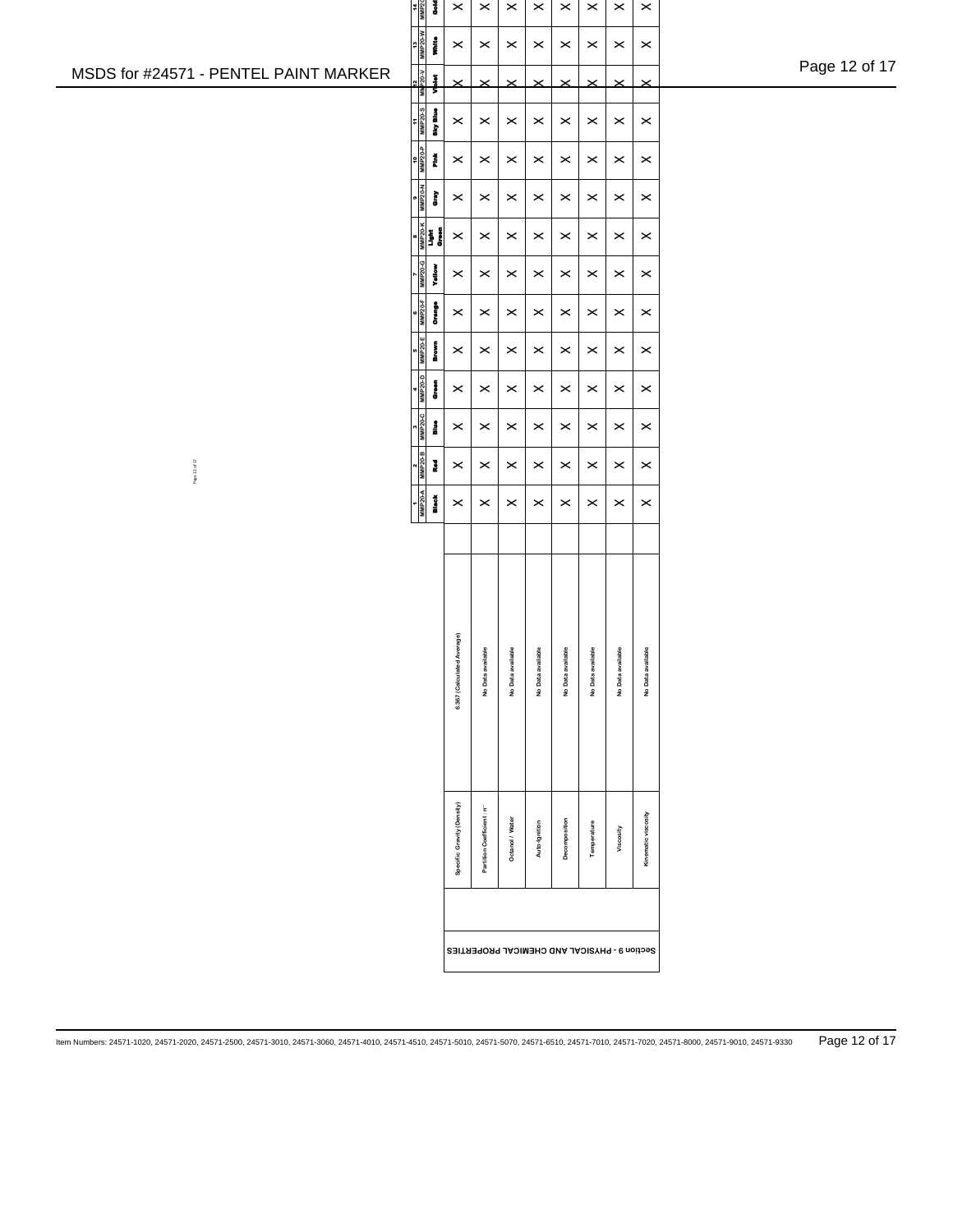|                                       | $\frac{14}{MP20}$<br>š                                                                                                                        | $\pmb{\times}$             | $\pmb{\times}$                               | $\pmb{\times}$        | $\pmb{\times}$    | $\pmb{\times}$        | $\pmb{\times}$        | $\times$              | $\pmb{\times}$        |               |
|---------------------------------------|-----------------------------------------------------------------------------------------------------------------------------------------------|----------------------------|----------------------------------------------|-----------------------|-------------------|-----------------------|-----------------------|-----------------------|-----------------------|---------------|
|                                       | $\frac{13}{\text{MMP20-W}}$<br>į                                                                                                              | $\boldsymbol{\times}$      | $\times$                                     | $\pmb{\times}$        | $\times$          | $\pmb{\times}$        | $\times$              | $\pmb{\times}$        | $\boldsymbol{\times}$ | Page 12 of 17 |
| MSDS for #24571 - PENTEL PAINT MARKER | $\begin{array}{c}\n\frac{12}{\sqrt{120}} \times \frac{1}{\sqrt{120}} \\ \frac{12}{\sqrt{120}} \times \frac{1}{\sqrt{120}}\n\end{array}$<br>MM | $\times$                   | $\times$                                     | $\times$              | $\times$          | $\times$              | $\times$              | $\times$              | $\times$              |               |
|                                       | 11<br>MMP20-S<br>Sky Blue                                                                                                                     | $\pmb{\times}$             | $\times$                                     | $\times$              | $\times$          | $\pmb{\times}$        | $\times$              | $\times$              | $\boldsymbol{\times}$ |               |
|                                       | 10<br>ММР20-Р<br>Ě                                                                                                                            | $\boldsymbol{\times}$      | $\boldsymbol{\times}$                        | $\times$              | $\times$          | $\boldsymbol{\times}$ | $\times$              | $\pmb{\times}$        | $\boldsymbol{\times}$ |               |
|                                       | <b>MP20-N</b><br>È                                                                                                                            | $\pmb{\times}$             | $\times$                                     | $\times$              | $\times$          | $\boldsymbol{\times}$ | $\times$              | $\times$              | $\pmb{\times}$        |               |
|                                       | <b>MMP20-K</b><br>Light<br>Groun                                                                                                              | $\pmb{\times}$             | $\boldsymbol{\times}$                        | $\pmb{\times}$        | $\pmb{\times}$    | $\pmb{\times}$        | $\times$              | $\pmb{\times}$        | $\boldsymbol{\times}$ |               |
|                                       | <b>MMP20-G</b><br>Yellow                                                                                                                      | $\boldsymbol{\times}$      | $\times$                                     | $\pmb{\times}$        | $\pmb{\times}$    | $\pmb{\times}$        | $\boldsymbol{\times}$ | $\pmb{\times}$        | $\boldsymbol{\times}$ |               |
|                                       | MMP <sub>20-F</sub><br>Orange                                                                                                                 | $\pmb{\times}$             | $\times$                                     | $\boldsymbol{\times}$ | $\times$          | $\boldsymbol{\times}$ | $\times$              | $\times$              | $\boldsymbol{\times}$ |               |
|                                       |                                                                                                                                               |                            |                                              |                       |                   |                       |                       |                       |                       |               |
|                                       | MMP <sub>20-E</sub><br>Brown                                                                                                                  | $\pmb{\times}$             | $\times$                                     | $\pmb{\times}$        | $\times$          | $\pmb{\times}$        | $\times$              | $\pmb{\times}$        | $\boldsymbol{\times}$ |               |
|                                       | MMP20-D<br>o<br>T                                                                                                                             | $\times$                   | $\times$                                     | $\pmb{\times}$        | $\times$          | $\boldsymbol{\times}$ | $\times$              | $\pmb{\times}$        | $\boldsymbol{\times}$ |               |
|                                       | <b>MMP20-C</b><br>$\frac{3}{8}$                                                                                                               | $\times$                   | $\times$                                     | $\pmb{\times}$        | $\times$          | $\pmb{\times}$        | $\times$              | $\times$              | $\boldsymbol{\times}$ |               |
| Page 12 of 17                         | <b>MMP20-B</b><br>Į                                                                                                                           | $\boldsymbol{\times}$      | $\times$                                     | $\pmb{\times}$        | $\times$          | $\pmb{\times}$        | $\times$              | $\pmb{\times}$        | $\boldsymbol{\times}$ |               |
|                                       | <b>MMP20-A</b><br>Black<br>B                                                                                                                  | $\pmb{\times}$             | $\times$                                     | $\pmb{\times}$        | $\times$          | $\pmb{\times}$        | $\times$              | $\boldsymbol{\times}$ | $\boldsymbol{\times}$ |               |
|                                       |                                                                                                                                               |                            |                                              |                       |                   |                       |                       |                       |                       |               |
|                                       |                                                                                                                                               |                            |                                              |                       |                   |                       |                       |                       |                       |               |
|                                       |                                                                                                                                               | 6.367 (Calculated Average) | No Data available                            | No Data available     | No Data available | No Data available     | No Data available     | No Data available     | No Data available     |               |
|                                       |                                                                                                                                               |                            |                                              |                       |                   |                       |                       |                       |                       |               |
|                                       |                                                                                                                                               | Specific Gravity (Density) | Partition Coefficient: n <sup>-</sup>        | Octanol / Water       | Auto-Ignition     | Decomposition         | Temperature           | Viscosity             | Kinematic viscosity   |               |
|                                       |                                                                                                                                               |                            | Section 9 - PHYSICAL AND CHEMICAL PROPERTIES |                       |                   |                       |                       |                       |                       |               |
|                                       |                                                                                                                                               |                            |                                              |                       |                   |                       |                       |                       |                       |               |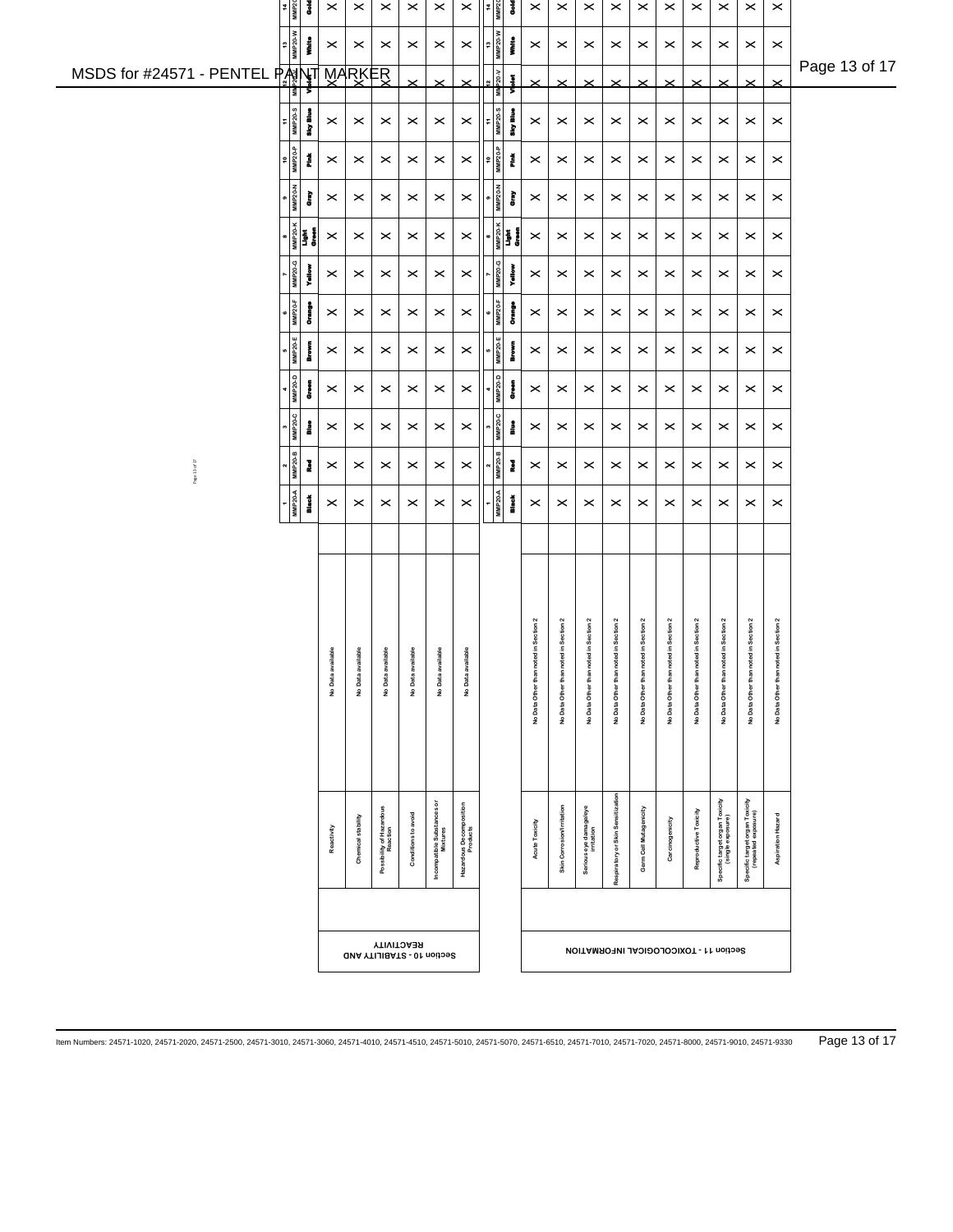|                                           |                                                                  |                       | $\pmb{\times}$             |                                     |                     |                                     |                         |                                                           |                                       |                           | $\times$                                 | $\times$                              |                         |                                       | $\times$                | $\times$                                            | $\times$                                              |                         |               |
|-------------------------------------------|------------------------------------------------------------------|-----------------------|----------------------------|-------------------------------------|---------------------|-------------------------------------|-------------------------|-----------------------------------------------------------|---------------------------------------|---------------------------|------------------------------------------|---------------------------------------|-------------------------|---------------------------------------|-------------------------|-----------------------------------------------------|-------------------------------------------------------|-------------------------|---------------|
| $\frac{14}{MMP20}$                        | ā                                                                | $\pmb{\times}$        |                            | $\times$                            | $\times$            | $\times$                            | X                       | š                                                         | $\pmb{\times}$                        | $\pmb{\times}$            |                                          |                                       | $\boldsymbol{\times}$   | $\times$                              |                         |                                                     |                                                       | $\pmb{\times}$          |               |
| 13<br>MMP20-W                             | į                                                                | $\boldsymbol{\times}$ | $\boldsymbol{\times}$      | $\times$                            | $\times$            | $\boldsymbol{\times}$               | $\boldsymbol{\times}$   | W-0ZdWN<br>EL<br>į                                        | $\times$                              | $\times$                  | $\boldsymbol{\times}$                    | $\times$                              | $\boldsymbol{\times}$   | $\times$                              | $\times$                | $\times$                                            | $\times$                                              | $\times$                | Page 13 of 17 |
| MSDS for #24571 - PENTEL PANY<br>⊺≣।      |                                                                  |                       | MARKER                     |                                     |                     | $\times$                            | $\times$                | $12$<br>P20-V<br>Ŧ<br>š                                   | $\times$                              | $\times$                  | $\times$                                 | $\times$                              | $\times$                | $\times$                              | $\times$                | $\times$                                            |                                                       | ×                       |               |
| $\frac{11}{11}$                           | any Blue                                                         | $\boldsymbol{\times}$ | $\times$                   | $\times$                            | $\times$            | $\times$                            | $\boldsymbol{\times}$   | 11<br>MMP20-S<br>aky Blue                                 | $\times$                              | $\boldsymbol{\times}$     | $\times$                                 | $\times$                              | $\times$                | $\times$                              | $\times$                | $\times$                                            | $\times$                                              | $\boldsymbol{\times}$   |               |
| $\frac{1}{\frac{1}{2}}$                   | Ě                                                                | $\times$              | $\times$                   | $\times$                            | $\times$            | $\times$                            | $\times$                | $\begin{array}{c}\n10 \\ 10 \\ MMP20-P\n\end{array}$<br>Ĭ | $\times$                              | $\times$                  | $\times$                                 | $\times$                              | $\times$                | $\times$                              | $\times$                | $\boldsymbol{\times}$                               | $\times$                                              | $\times$                |               |
| <b>MMP20-N</b>                            | È                                                                | $\times$              | $\boldsymbol{\times}$      | $\times$                            | $\times$            | $\times$                            | $\times$                | <b>MMP20-N</b><br>È                                       | $\times$                              | $\times$                  | $\times$                                 | $\times$                              | $\times$                | $\times$                              | $\times$                | $\times$                                            | $\times$                                              | $\times$                |               |
|                                           | $\begin{array}{c}\n\bullet \\ \hline\n\text{MIPZO}\n\end{array}$ | $\pmb{\times}$        | $\boldsymbol{\times}$      | $\times$                            | $\times$            | $\boldsymbol{\times}$               | $\pmb{\times}$          | <sub>MMP20-K</sub><br>Light<br>Green<br>╹                 | $\boldsymbol{\times}$                 | $\boldsymbol{\times}$     | $\times$                                 | $\times$                              | $\boldsymbol{\times}$   | $\times$                              | $\boldsymbol{\times}$   | $\times$                                            | $\times$                                              | $\boldsymbol{\times}$   |               |
| MMP20-                                    | yallo                                                            | $\boldsymbol{\times}$ | $\boldsymbol{\times}$      | $\times$                            | $\times$            | $\pmb{\times}$                      | $\boldsymbol{\times}$   | <b>MMP20-G</b><br>Yellow                                  | $\times$                              | $\boldsymbol{\times}$     | $\times$                                 | $\times$                              | $\boldsymbol{\times}$   | $\times$                              | $\boldsymbol{\times}$   | $\times$                                            | $\times$                                              | $\boldsymbol{\times}$   |               |
| $MMP20-F$                                 | į                                                                | $\boldsymbol{\times}$ | $\boldsymbol{\times}$      | $\times$                            | $\times$            | $\boldsymbol{\times}$               | $\times$                | <b>MMP20-F</b><br>į                                       | $\boldsymbol{\times}$                 | $\boldsymbol{\times}$     | $\times$                                 | $\times$                              | $\boldsymbol{\times}$   | $\boldsymbol{\times}$                 | $\boldsymbol{\times}$   | $\times$                                            | $\times$                                              | $\boldsymbol{\times}$   |               |
| 5<br>MMP20-E                              | i<br>Prove                                                       | $\boldsymbol{\times}$ | $\,\times\,$               | $\boldsymbol{\times}$               | $\times$            | $\boldsymbol{\times}$               | $\times$                | <b>MMP20-E</b><br>Į                                       | $\times$                              | $\boldsymbol{\times}$     | $\times$                                 | $\times$                              | $\boldsymbol{\times}$   | $\times$                              | $\times$                | $\times$                                            | $\times$                                              | $\boldsymbol{\times}$   |               |
| $4$ MMP20-D                               | Į                                                                | $\boldsymbol{\times}$ | $\boldsymbol{\times}$      | $\times$                            | $\times$            | $\boldsymbol{\times}$               | $\times$                | <b>MMP20-D</b><br>į                                       | $\boldsymbol{\times}$                 | $\boldsymbol{\times}$     | $\times$                                 | $\times$                              | $\boldsymbol{\times}$   | $\times$                              | $\times$                | $\times$                                            | $\times$                                              | $\boldsymbol{\times}$   |               |
| <b>MMP20-C</b>                            | å                                                                | $\boldsymbol{\times}$ | $\times$                   | $\times$                            | $\times$            | $\boldsymbol{\times}$               | $\times$                | <b>MMP20-C</b><br>i                                       | $\boldsymbol{\times}$                 | $\boldsymbol{\times}$     | $\times$                                 | $\times$                              | $\boldsymbol{\times}$   | $\times$                              | $\times$                | $\times$                                            | $\times$                                              | $\boldsymbol{\times}$   |               |
| $\frac{2}{\text{MMP20}}$<br>Page 13 of 17 | Į                                                                | $\boldsymbol{\times}$ | $\boldsymbol{\times}$      | $\times$                            | $\times$            | $\pmb{\times}$                      | $\boldsymbol{\times}$   | <b>MMP20-B</b><br>š                                       | $\times$                              | $\boldsymbol{\times}$     | $\times$                                 | $\times$                              | $\boldsymbol{\times}$   | $\times$                              | $\boldsymbol{\times}$   | $\times$                                            | $\times$                                              | $\boldsymbol{\times}$   |               |
| $1$<br>MMP <sub>20-A</sub>                | t<br>Mest                                                        | $\boldsymbol{\times}$ | $\times$                   | $\times$                            | $\times$            | $\times$                            | $\times$                | <b>MMP20-A</b><br><b>Mack</b>                             | $\times$                              | $\boldsymbol{\times}$     | $\times$                                 | $\times$                              | $\times$                | $\times$                              | $\times$                | $\times$                                            | $\times$                                              | $\boldsymbol{\times}$   |               |
|                                           |                                                                  |                       |                            |                                     |                     |                                     |                         |                                                           |                                       |                           |                                          |                                       |                         |                                       |                         |                                                     |                                                       |                         |               |
|                                           |                                                                  |                       |                            |                                     |                     |                                     |                         |                                                           |                                       |                           |                                          |                                       |                         |                                       |                         |                                                     |                                                       |                         |               |
|                                           |                                                                  |                       |                            |                                     |                     |                                     |                         |                                                           |                                       |                           |                                          |                                       |                         |                                       |                         |                                                     |                                                       |                         |               |
|                                           |                                                                  |                       |                            |                                     |                     |                                     |                         |                                                           | No Data Other than noted in Section 2 | d in Section 2            | No Data Other than noted in Section 2    | No Data Other than noted in Section 2 | d in Section 2          | No Data Other than noted in Section 2 | <b>Idin Section 2</b>   | d in Section 2                                      | d in Section 2                                        | d in Section 2          |               |
|                                           |                                                                  | No Data available     | No Data available          | No Data available                   | No Data available   | No Data available                   | No Data available       |                                                           |                                       | No Data Other than note   |                                          |                                       | No Data Other than note |                                       | No Data Other than note | No Data Other than note                             | No Data Other than note                               | No Data Other than note |               |
|                                           |                                                                  |                       |                            |                                     |                     |                                     |                         |                                                           |                                       |                           |                                          |                                       |                         |                                       |                         |                                                     |                                                       |                         |               |
|                                           |                                                                  |                       |                            |                                     |                     |                                     |                         |                                                           |                                       |                           |                                          |                                       |                         |                                       |                         |                                                     |                                                       |                         |               |
|                                           |                                                                  |                       |                            |                                     |                     |                                     |                         |                                                           |                                       |                           |                                          |                                       |                         |                                       |                         |                                                     |                                                       |                         |               |
|                                           |                                                                  |                       |                            |                                     |                     | ŏ                                   |                         |                                                           |                                       |                           |                                          |                                       |                         |                                       |                         |                                                     |                                                       |                         |               |
|                                           |                                                                  | Reactivity            | Chemical stability         | Possibility of Hazardou<br>Reaction | Conditions to avoid | Incompatible Substances<br>Mixtures | Hazardous Decomposition |                                                           | Acute Toxicity                        | Skin Corrosion/Irritation | Serious eye damage/eye                   | Respiratory or Skin Sensitization     | Germ Cell Mutagenicity  | Carcinogenicity                       | Reproductive Toxicity   | Specific target organ Toxicity<br>(single exposure) | Specific target organ Toxicity<br>(repeated exposure) | Aspiration Hazard       |               |
|                                           |                                                                  |                       |                            |                                     |                     |                                     |                         |                                                           |                                       |                           |                                          |                                       |                         |                                       |                         |                                                     |                                                       |                         |               |
|                                           |                                                                  |                       |                            |                                     |                     |                                     |                         |                                                           |                                       |                           |                                          |                                       |                         |                                       |                         |                                                     |                                                       |                         |               |
|                                           |                                                                  |                       | GMA YTIJIBATS - 01 noitoeS | <b>YTIVITOA 3R</b>                  |                     |                                     |                         |                                                           |                                       |                           | <b>NOITAMROHUL ACCOCICAL INFORMATION</b> |                                       |                         |                                       |                         |                                                     |                                                       |                         |               |
|                                           |                                                                  |                       |                            |                                     |                     |                                     |                         |                                                           |                                       |                           |                                          |                                       |                         |                                       |                         |                                                     |                                                       |                         |               |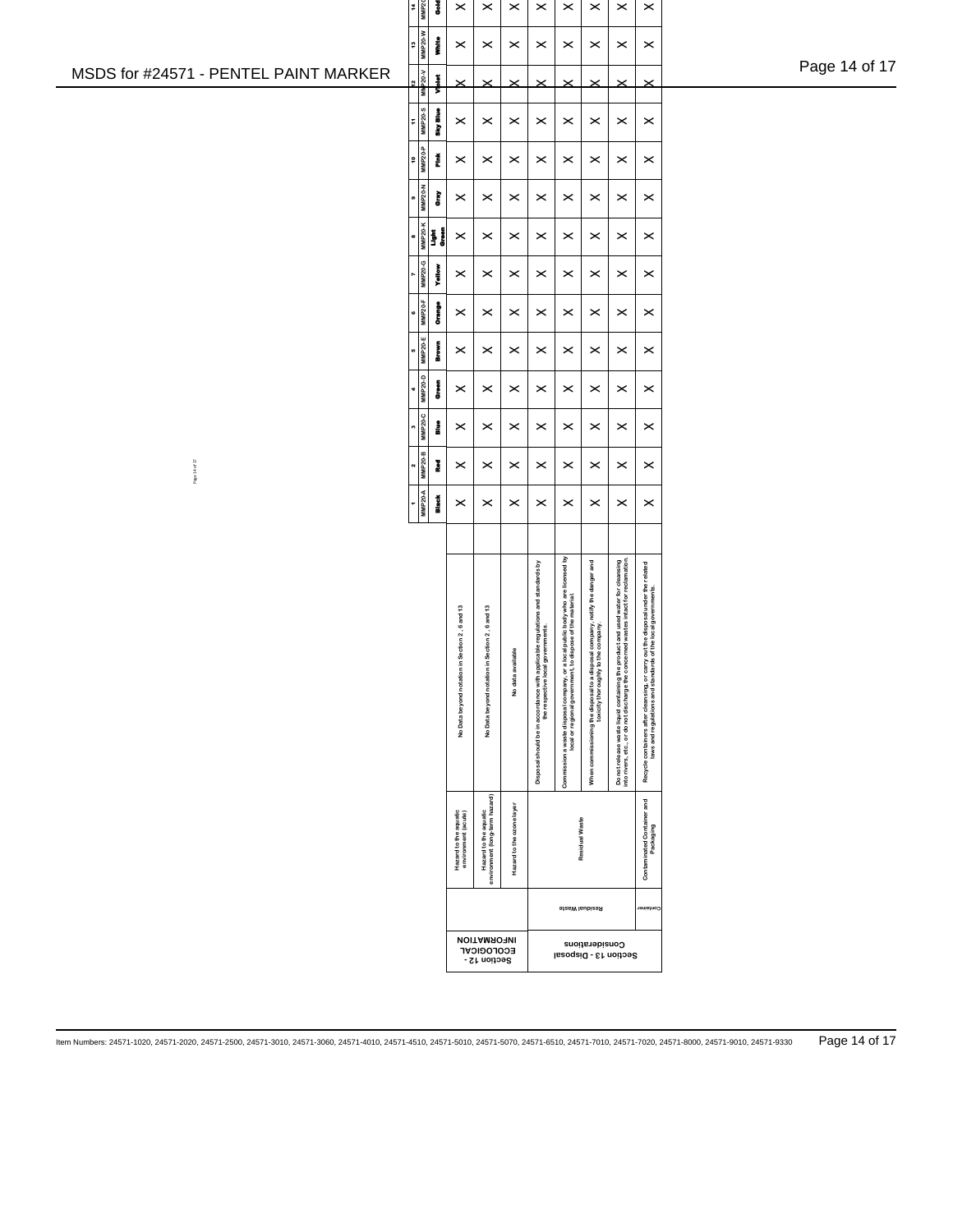| Page 14 of 17 |  |  |
|---------------|--|--|
|               |  |  |

| 4<br>2<br>$\tilde{c}$<br>Ŧ<br>¢<br>a<br>8 | MMP <sub>2</sub><br><b>MMP20-W</b><br><b>MMP20-V</b><br><b>MMP20-S</b><br><b>MMP20-P</b><br><b>MMP20-N</b><br><b>MMP20-K</b> | J<br>į<br>ļ<br>any Blue<br>Í<br>Ì<br>į<br>Š | ×<br>×<br>×<br>×<br>×<br>×                     | ×<br>×<br>×<br>×<br>×<br>×                                                                                          | ×<br>×<br>×<br>×<br>×<br>× | ×<br>×<br>×<br>×<br>×<br>×                                                                                         | ×<br>×<br>×<br>×<br>×<br>×                                                                                                                       | ×<br>×<br>×<br>×<br>×<br>×                                                                                              | ×<br>×<br>×<br>×<br>×<br>×                                                                                                                                                | ×<br>×<br>×<br>×<br>×<br>×                                                      |  |  |  |
|-------------------------------------------|------------------------------------------------------------------------------------------------------------------------------|---------------------------------------------|------------------------------------------------|---------------------------------------------------------------------------------------------------------------------|----------------------------|--------------------------------------------------------------------------------------------------------------------|--------------------------------------------------------------------------------------------------------------------------------------------------|-------------------------------------------------------------------------------------------------------------------------|---------------------------------------------------------------------------------------------------------------------------------------------------------------------------|---------------------------------------------------------------------------------|--|--|--|
| r<br>c                                    | MMP20-G<br><b>MMP20-F</b>                                                                                                    | Yallow<br>į                                 | ×<br>×                                         | ×<br>×                                                                                                              | ×<br>×                     | ×<br>×                                                                                                             | ×<br>×                                                                                                                                           | ×<br>×                                                                                                                  | ×<br>×                                                                                                                                                                    | ×<br>×                                                                          |  |  |  |
| u<br>4                                    | MMP20-E<br>MMP20-D                                                                                                           | Į<br>į                                      | ×<br>×                                         | ×<br>×                                                                                                              | ×<br>×                     | ×<br>×                                                                                                             | ×<br>×                                                                                                                                           | ×<br>×                                                                                                                  | ×<br>$\pmb{\times}$                                                                                                                                                       | ×<br>×                                                                          |  |  |  |
| m                                         | MMP20-C                                                                                                                      | į                                           | ×                                              | ×                                                                                                                   | ×                          | ×                                                                                                                  | ×                                                                                                                                                | ×                                                                                                                       | ×                                                                                                                                                                         | ×                                                                               |  |  |  |
| N                                         | <b>MMP20-B</b><br><b>MMP20-A</b>                                                                                             | Į<br><b>Black</b>                           | ×<br>×                                         | ×<br>×                                                                                                              | ×<br>×                     | ×<br>×                                                                                                             | ×<br>×                                                                                                                                           | ×<br>×                                                                                                                  | ×<br>×                                                                                                                                                                    | ×<br>×                                                                          |  |  |  |
|                                           |                                                                                                                              |                                             | No Data beyond notation in Section 2, 6 and 13 | No Data beyond notation in Section 2, 6 and 13                                                                      | No data available          | Disposal should be in accordance with applicable regulations and standards by<br>the respective local governments. | Commission a waste disposal company, or a local public body who are licensed by<br>ispose of the material.<br>local or regional government, to d | When commissioning the disposal to a disposal company, notify the danger and<br>e company<br>toxicity thoroughly to the | Do not release waste liquid containing the product and used water for cleansing<br>ned wastes intact for reclamation<br>into rivers, etc., or do not discharge the concer | Recycle containers after cleansing, or carry out the disposal under the related |  |  |  |
|                                           |                                                                                                                              |                                             | Hazard to the aquatic<br>environment (acute)   | environment (long-term hazard)<br>Hazard to the aquatic<br><b><i>NOITAMROFINI</i></b><br>ECOFOGICVE<br>Section 12 - | Hazard to the ozone layer  | Residual Waste<br><b>SizeW</b> laubizeR<br>Considerations<br>Section 13 - Disposal                                 |                                                                                                                                                  |                                                                                                                         |                                                                                                                                                                           |                                                                                 |  |  |  |

## MSDS for #24571 - PENTEL PAINT MARKER

Page 14 of 17

Item Numbers: 24571-1020, 24571-2020, 24571-2500, 24571-3010, 24571-3060, 24571-4010, 24571-4510, 24571-5010, 24571-5070, 24571-6510, 24571-7010, 24571-7020, 24571-8000, 24571-9010, 24571-9330 Page 14 of 17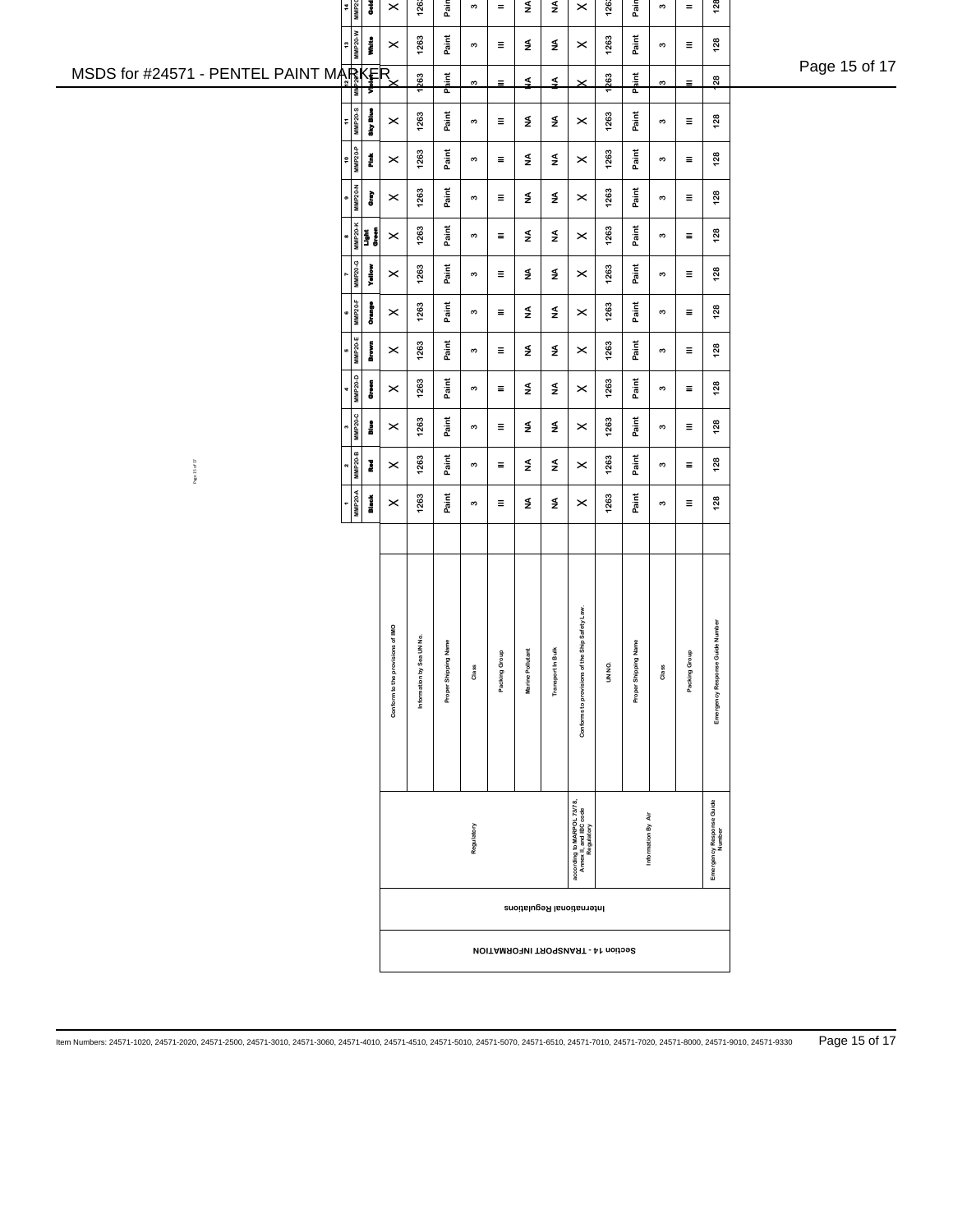|                                       | 14<br>MP20<br>š<br>l s                      | $\pmb{\times}$                            | 1263               | Pain            | $\boldsymbol{\omega}$ | $\equiv$                     | NA                       | NA                                           | $\pmb{\times}$                                                     | 1263   | Pain                 | $\boldsymbol{\mathsf{s}}$   | $\equiv$                     | 128                                |               |
|---------------------------------------|---------------------------------------------|-------------------------------------------|--------------------|-----------------|-----------------------|------------------------------|--------------------------|----------------------------------------------|--------------------------------------------------------------------|--------|----------------------|-----------------------------|------------------------------|------------------------------------|---------------|
|                                       | ξ<br>į<br>MMP20-1<br>$\frac{3}{2}$          | $\pmb{\times}$                            | 1263               | Paint           | $\boldsymbol{\varpi}$ | $\equiv$                     | $\mathbf{s}$             | $\lessgtr$                                   | $\times$                                                           | 1263   | Paint                | $\mathfrak{g}$              | $\equiv$                     | 128                                |               |
| MSDS for #24571 - PENTEL PAINT MARKER | ⋝                                           |                                           | 1263               | Paint           | $\boldsymbol{\omega}$ | Ξ                            | $\leq$                   | ₹                                            | $\times$                                                           | 1263   | P <mark>a</mark> int | 3                           | $\equiv$                     | $\frac{8}{2}$                      | Page 15 of 17 |
|                                       | <b>MMP20-S</b><br>Sky Blue<br>÷             | $\times$                                  | 1263               | Paint           | $\boldsymbol{\varpi}$ | $\equiv$                     | $\mathbf{z}$             | $\mathbf{z}$                                 | $\pmb{\times}$                                                     | 1263   | Paint                | $\mathfrak{g}$              | $\equiv$                     | 128                                |               |
|                                       | $\frac{1}{\sinh(\frac{1}{2})}$<br>Ĕ         | $\pmb{\times}$                            | 1263               | Paint           | $\boldsymbol{\infty}$ | $\equiv$                     | $\frac{4}{2}$            | $\mathbf{z}$                                 | $\pmb{\times}$                                                     | 1263   | Paint                | $\mathfrak{g}$              | $\equiv$                     | 128                                |               |
|                                       | <b>MMP20-N</b><br>È                         | $\times$                                  | 1263               | Paint           | $\boldsymbol{\infty}$ | $\equiv$                     | $\frac{4}{2}$            | $\frac{4}{2}$                                | $\pmb{\times}$                                                     | 1263   | Paint                | $\mathfrak{g}$              | $\equiv$                     | 128                                |               |
|                                       |                                             | $\pmb{\times}$                            | 1263               | Paint           | $\boldsymbol{\infty}$ | $\equiv$                     | $\frac{4}{2}$            | $\frac{4}{2}$                                | $\pmb{\times}$                                                     | 1263   | Paint                | $\mathfrak{g}$              | $\equiv$                     | 128                                |               |
|                                       | Yellow<br><b>MMP20-</b>                     | $\times$                                  | 1263               | Paint           | $\boldsymbol{\infty}$ | $\equiv$                     | $\mathbf{z}$             | $\frac{4}{2}$                                | $\boldsymbol{\times}$                                              | 1263   | Paint                | $\boldsymbol{\mathfrak{S}}$ | $\equiv$                     | $128$                              |               |
|                                       | <b>MMP20-F</b><br>į                         | $\times$                                  | 1263               | Paint           | $\boldsymbol{\varpi}$ | $\equiv$                     | $\mathbf{z}$             | $\mathbf{\mathop{\leq}\limits_{\mathbf{z}}}$ | $\boldsymbol{\times}$                                              | 1263   | Paint                | $\mathfrak{g}$              | $\equiv$                     | 128                                |               |
|                                       | <b>MMP20-E</b><br>Brown                     | $\pmb{\times}$                            | 1263               | Paint           | $\boldsymbol{\varpi}$ | $\equiv$                     | $\frac{4}{2}$            | $\mathbf{\mathop{\leq}\limits_{\mathbf{z}}}$ | $\times$                                                           | 1263   | Paint                | $\mathfrak{g}$              | $\equiv$                     | 128                                |               |
|                                       | <b>MMP20-D</b><br>į                         | $\times$                                  | 1263               | Paint           | $\boldsymbol{\varpi}$ | $\equiv$                     | $\frac{4}{2}$            | $\mathbf{\mathop{\leq}\limits_{\mathbf{z}}}$ | $\times$                                                           | 1263   | Paint                | $\mathfrak{g}$              | $\equiv$                     | 128                                |               |
|                                       | <b>MMP20-</b><br>å                          | $\times$                                  | 1263               | Paint           | $\boldsymbol{\varpi}$ | $\equiv$                     | $\mathsf{\underline{4}}$ | $\mathbf{\mathop{\leq}\limits_{\mathbf{z}}}$ | $\pmb{\times}$                                                     | 1263   | Paint                | $\mathfrak{g}$              | $\equiv$                     | 128                                |               |
| Page 15 of 17                         | $\boldsymbol{\omega}$<br><b>MMP20-</b><br>Į | $\times$                                  | 1263               | Paint           | $\boldsymbol{\varpi}$ | Ξ                            | $\frac{4}{2}$            | $\mathbf{\mathop{\leq}\limits_{\mathbf{z}}}$ | $\times$                                                           | 1263   | Paint                | $\mathfrak{g}$              | Ξ                            | 128                                |               |
|                                       | <b>MMP20-A</b><br>Black                     | $\pmb{\times}$                            | 1263               | Paint           | $\boldsymbol{\omega}$ | $\equiv$                     | $\mathbf{z}$             | $\frac{4}{2}$                                | $\times$                                                           | 1263   | Paint                | $\mathfrak{g}$              | Ξ                            | 128                                |               |
|                                       |                                             |                                           |                    |                 |                       |                              |                          |                                              |                                                                    |        |                      |                             |                              |                                    |               |
|                                       |                                             |                                           |                    |                 |                       |                              |                          |                                              |                                                                    |        |                      |                             |                              |                                    |               |
|                                       |                                             |                                           | I UN No.           | Name            |                       |                              |                          |                                              | Ship Safety Law                                                    |        | Name                 |                             |                              |                                    |               |
|                                       |                                             | Conform to the provisions of IMO          | Information by Sea | Proper Shipping | Class                 | $\mathbf{r}$<br>Packing Grou | Marine Pollutant         | Transport In Bulk                            | Conforms to provisions of the                                      | UN NO. | Proper Shipping      | Class                       | $\mathbf{e}$<br>Packing Grou | Emergency Response Guide Number    |               |
|                                       |                                             |                                           |                    |                 |                       |                              |                          |                                              |                                                                    |        |                      |                             |                              |                                    |               |
|                                       |                                             |                                           |                    |                 | Regulatory            |                              |                          |                                              | according to MARPOL 73/78,<br>Annex II, and IBC code<br>Regulatory |        | Information By Air   |                             |                              | Emergency Response Guide<br>Number |               |
|                                       |                                             |                                           |                    |                 |                       |                              |                          |                                              | International Regulations                                          |        |                      |                             |                              |                                    |               |
|                                       |                                             | <b>NOITAMROTMI TROGENAST - At noitoe2</b> |                    |                 |                       |                              |                          |                                              |                                                                    |        |                      |                             |                              |                                    |               |
|                                       |                                             |                                           |                    |                 |                       |                              |                          |                                              |                                                                    |        |                      |                             |                              |                                    |               |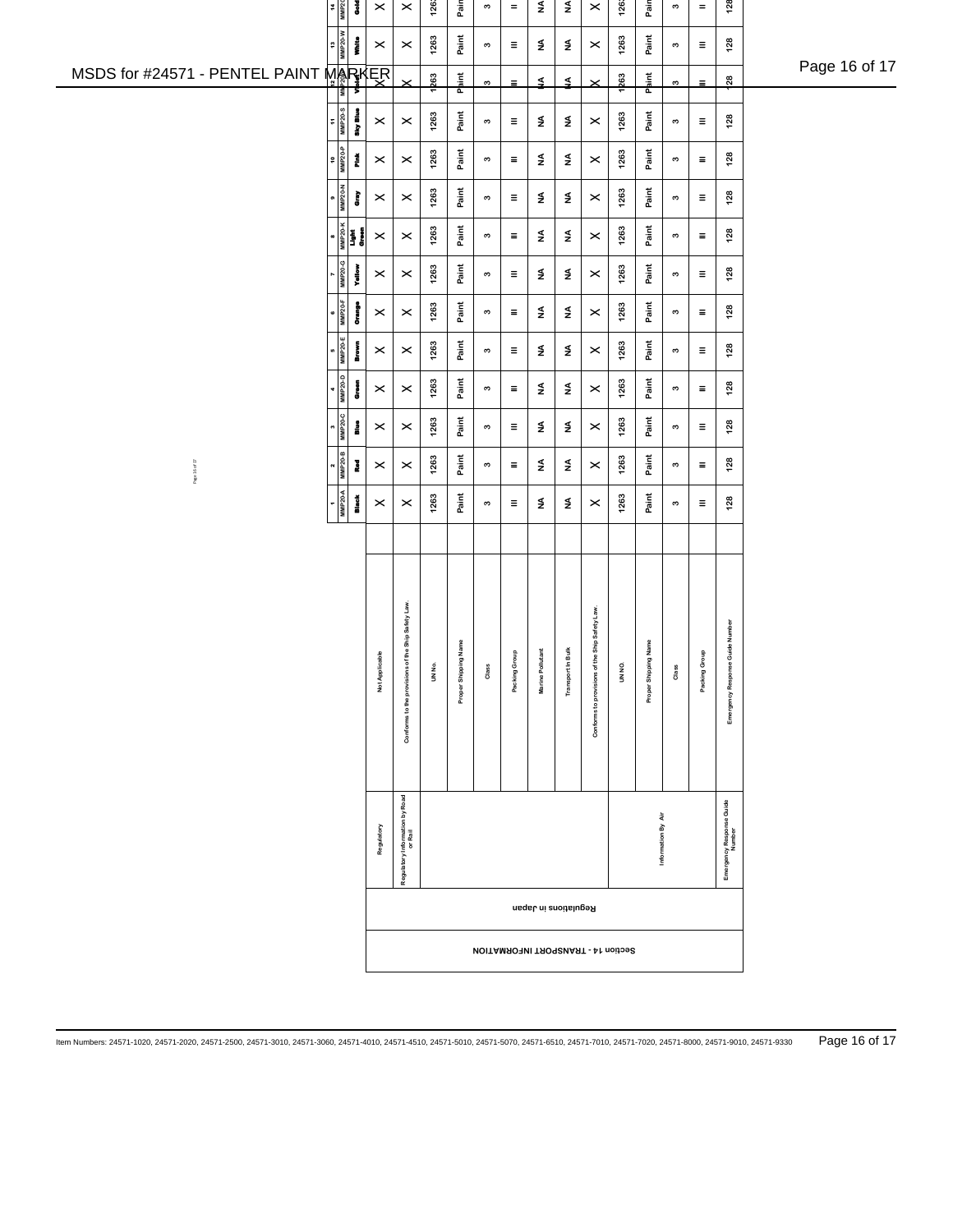|                                | $\frac{14}{MMP20}$           | $\frac{3}{2}$                                                                                                | $\pmb{\times}$                             | $\pmb{\times}$                                    | 1263   | Pain            | $\boldsymbol{\omega}$     | $\equiv$     | NA                    | $\frac{4}{2}$            | $\pmb{\times}$                | 1263   | Pain               | $\boldsymbol{\omega}$     | $\equiv$     | 128                                |               |
|--------------------------------|------------------------------|--------------------------------------------------------------------------------------------------------------|--------------------------------------------|---------------------------------------------------|--------|-----------------|---------------------------|--------------|-----------------------|--------------------------|-------------------------------|--------|--------------------|---------------------------|--------------|------------------------------------|---------------|
|                                | 13<br>MM P20-W               | į                                                                                                            | $\boldsymbol{\times}$                      | $\,\times\,$                                      | 1263   | Paint           | $\boldsymbol{\omega}$     | $\equiv$     | $\mathbf{\mathsf{z}}$ | $\mathsf{\underline{4}}$ | $\,\times\,$                  | 1263   | Paint              | $\boldsymbol{\omega}$     | $\equiv$     | 128                                |               |
| MSDS for #24571 - PENTEL PAINT | ⊺                            | Σ                                                                                                            | MARKER                                     |                                                   | 1263   | Paint           | $\boldsymbol{\mathsf{c}}$ | $\equiv$     | ≨                     | ₹                        | $\times$                      | 1263   | nint<br>Paint      | $\boldsymbol{\mathsf{c}}$ | $\equiv$     | $\frac{8}{2}$                      | Page 16 of 17 |
|                                | $\frac{11}{\text{MMP 20-8}}$ | Sky Blue                                                                                                     | $\boldsymbol{\times}$                      | $\boldsymbol{\times}$                             | 1263   | Paint           | $\boldsymbol{\omega}$     | $\equiv$     | $\frac{4}{2}$         | ₹                        | $\boldsymbol{\times}$         | 1263   | Paint              | $\boldsymbol{\omega}$     | $\equiv$     | 128                                |               |
|                                | $\frac{10}{MMP20-P}$         | Ě                                                                                                            | $\boldsymbol{\times}$                      | $\times$                                          | 1263   | Paint           | $\boldsymbol{\omega}$     | $\equiv$     | $\frac{4}{2}$         | $\frac{4}{2}$            | $\boldsymbol{\times}$         | 1263   | Paint              | $\boldsymbol{\omega}$     | Ξ            | 128                                |               |
|                                | $\frac{9}{MMP20-N}$          | È                                                                                                            | $\boldsymbol{\times}$                      | $\pmb{\times}$                                    | 1263   | Paint           | $\boldsymbol{\omega}$     | $\equiv$     | $\frac{4}{2}$         | $\frac{4}{2}$            | $\boldsymbol{\times}$         | 1263   | Paint              | $\boldsymbol{\omega}$     | $\equiv$     | 128                                |               |
|                                |                              | $\begin{array}{r}\n\bullet \\ \rule{0pt}{5pt}\n\text{MMP2O-K} \\ \rule{0pt}{5pt}\n\text{light}\n\end{array}$ | $\pmb{\times}$                             | $\pmb{\times}$                                    | 1263   | Paint           | $\boldsymbol{\omega}$     | $\equiv$     | $\mathbf{z}$          | $\mathbf{z}$             | $\pmb{\times}$                | 1263   | Paint              | $\boldsymbol{\omega}$     | $\equiv$     | 128                                |               |
|                                | MMP20-G                      | Yallo                                                                                                        | $\boldsymbol{\times}$                      | $\pmb{\times}$                                    | 1263   | Paint           | $\boldsymbol{\omega}$     | $\equiv$     | $\mathbf{z}$          | $\mathsf{\underline{4}}$ | $\pmb{\times}$                | 1263   | Paint              | $\boldsymbol{\omega}$     | Ξ            | 128                                |               |
|                                | $\frac{6}{MMP20-F}$          | orange<br>O                                                                                                  | $\boldsymbol{\times}$                      | $\times$                                          | 1263   | Paint           | $\boldsymbol{\omega}$     | $\equiv$     | $\frac{4}{2}$         | $\mathsf{\underline{4}}$ | $\,\times\,$                  | 1263   | Paint              | $\boldsymbol{\omega}$     | $\equiv$     | 128                                |               |
|                                | $5 - 20$                     | <b>Brown</b>                                                                                                 | $\boldsymbol{\times}$                      | $\boldsymbol{\times}$                             | 1263   | Paint           | $\boldsymbol{\omega}$     | $\equiv$     | $\frac{4}{2}$         | $\frac{4}{2}$            | $\pmb{\times}$                | 1263   | Paint              | $\boldsymbol{\infty}$     | $\equiv$     | 128                                |               |
|                                | $4$<br>MMP20-D               | è                                                                                                            | $\boldsymbol{\times}$                      | $\times$                                          | 1263   | Paint           | $\boldsymbol{\omega}$     | $\equiv$     | $\mathbf{z}$          | $\frac{4}{2}$            | $\boldsymbol{\times}$         | 1263   | Paint              | $\boldsymbol{\omega}$     | $\equiv$     | 128                                |               |
|                                | $3$<br>MMP <sub>20-C</sub>   | å                                                                                                            | $\boldsymbol{\times}$                      | $\times$                                          | 1263   | Paint           | $\boldsymbol{\omega}$     | $\equiv$     | $\frac{4}{2}$         | $\frac{4}{2}$            | $\pmb{\times}$                | 1263   | Paint              | $\boldsymbol{\omega}$     | Ξ            | 128                                |               |
| Page 16 of 17                  | $2$<br>MMP20-B               | Į                                                                                                            | $\boldsymbol{\times}$                      | $\boldsymbol{\times}$                             | 1263   | Paint           | $\boldsymbol{\omega}$     | Ξ            | $\frac{4}{2}$         | $\frac{4}{2}$            | $\pmb{\times}$                | 1263   | Paint              | $\boldsymbol{\omega}$     | Ξ            | 128                                |               |
|                                | $MMP20-A$                    | Black<br>B                                                                                                   | $\boldsymbol{\times}$                      | $\boldsymbol{\times}$                             | 1263   | Paint           | S                         | $\equiv$     | $\mathbf{z}$          | $\frac{4}{2}$            | $\boldsymbol{\times}$         | 1263   | Paint              | $\boldsymbol{\omega}$     | Ξ            | 128                                |               |
|                                |                              |                                                                                                              |                                            |                                                   |        |                 |                           |              |                       |                          |                               |        |                    |                           |              |                                    |               |
|                                |                              |                                                                                                              |                                            |                                                   |        |                 |                           |              |                       |                          |                               |        |                    |                           |              |                                    |               |
|                                |                              |                                                                                                              |                                            |                                                   |        |                 |                           |              |                       |                          |                               |        |                    |                           |              |                                    |               |
|                                |                              |                                                                                                              |                                            | Conforms to the provisions of the Ship Safety Law |        | Name            |                           | $\mathbf{r}$ |                       |                          | Ship Safety Law.              |        | Name               |                           | $\mathbf{e}$ | Emergency Response Guide Number    |               |
|                                |                              |                                                                                                              | Not Applicable                             |                                                   | UN No. | Proper Shipping | Class                     | Packing Gro  | Marine Pollutant      | Transport in Bulk        |                               | UN NO. | Proper Shipping    | Class                     | Packing Gro  |                                    |               |
|                                |                              |                                                                                                              |                                            |                                                   |        |                 |                           |              |                       |                          | Conforms to provisions of the |        |                    |                           |              |                                    |               |
|                                |                              |                                                                                                              |                                            |                                                   |        |                 |                           |              |                       |                          |                               |        |                    |                           |              |                                    |               |
|                                |                              |                                                                                                              |                                            |                                                   |        |                 |                           |              |                       |                          |                               |        |                    |                           |              |                                    |               |
|                                |                              |                                                                                                              | Regulatory                                 | Regulatory Information by Road<br>or Rail         |        |                 |                           |              |                       |                          |                               |        | Information By Air |                           |              | Emergency Response Guide<br>Number |               |
|                                |                              |                                                                                                              |                                            |                                                   |        |                 |                           |              | Regulations in Japan  |                          |                               |        |                    |                           |              |                                    |               |
|                                |                              |                                                                                                              | <b>NOITAMROPNI TROPORNATI - 41 noitoe8</b> |                                                   |        |                 |                           |              |                       |                          |                               |        |                    |                           |              |                                    |               |
|                                |                              |                                                                                                              |                                            |                                                   |        |                 |                           |              |                       |                          |                               |        |                    |                           |              |                                    |               |